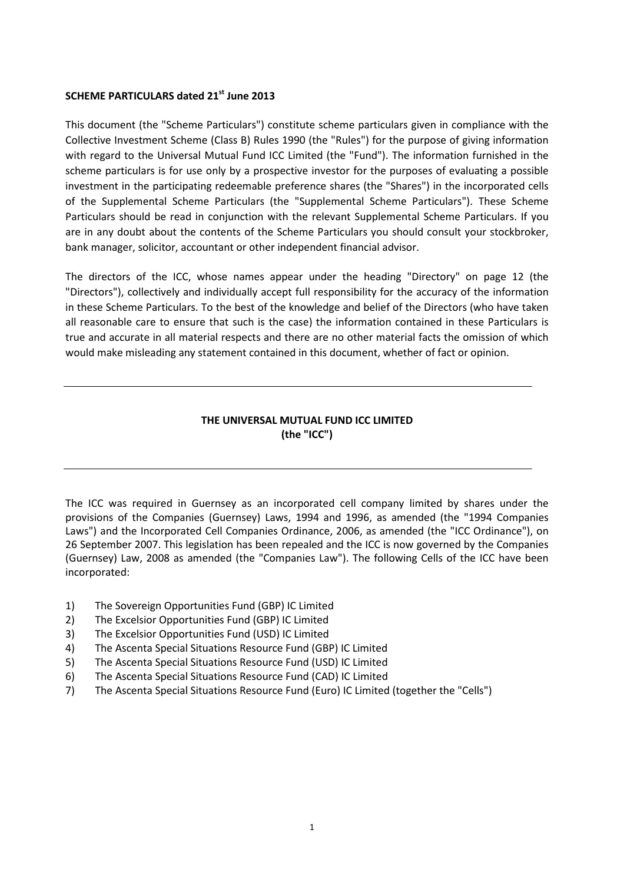## **SCHEME PARTICULARS dated 21st June 2013**

This document (the "Scheme Particulars") constitute scheme particulars given in compliance with the Collective Investment Scheme (Class B) Rules 1990 (the "Rules") for the purpose of giving information with regard to the Universal Mutual Fund ICC Limited (the "Fund"). The information furnished in the scheme particulars is for use only by a prospective investor for the purposes of evaluating a possible investment in the participating redeemable preference shares (the "Shares") in the incorporated cells of the Supplemental Scheme Particulars (the "Supplemental Scheme Particulars"). These Scheme Particulars should be read in conjunction with the relevant Supplemental Scheme Particulars. If you are in any doubt about the contents of the Scheme Particulars you should consult your stockbroker, bank manager, solicitor, accountant or other independent financial advisor.

The directors of the ICC, whose names appear under the heading "Directory" on page 12 (the "Directors"), collectively and individually accept full responsibility for the accuracy of the information in these Scheme Particulars. To the best of the knowledge and belief of the Directors (who have taken all reasonable care to ensure that such is the case) the information contained in these Particulars is true and accurate in all material respects and there are no other material facts the omission of which would make misleading any statement contained in this document, whether of fact or opinion.

## **THE UNIVERSAL MUTUAL FUND ICC LIMITED (the "ICC")**

The ICC was required in Guernsey as an incorporated cell company limited by shares under the provisions of the Companies (Guernsey) Laws, 1994 and 1996, as amended (the "1994 Companies Laws") and the Incorporated Cell Companies Ordinance, 2006, as amended (the "ICC Ordinance"), on 26 September 2007. This legislation has been repealed and the ICC is now governed by the Companies (Guernsey) Law, 2008 as amended (the "Companies Law"). The following Cells of the ICC have been incorporated:

- 1) The Sovereign Opportunities Fund (GBP) IC Limited
- 2) The Excelsior Opportunities Fund (GBP) IC Limited
- 3) The Excelsior Opportunities Fund (USD) IC Limited
- 4) The Ascenta Special Situations Resource Fund (GBP) IC Limited
- 5) The Ascenta Special Situations Resource Fund (USD) IC Limited
- 6) The Ascenta Special Situations Resource Fund (CAD) IC Limited
- 7) The Ascenta Special Situations Resource Fund (Euro) IC Limited (together the "Cells")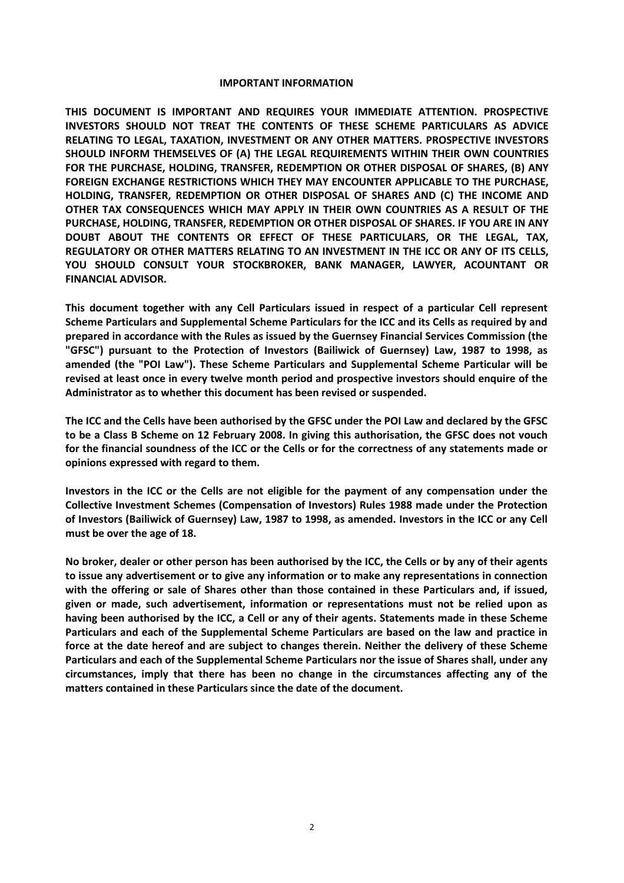#### **IMPORTANT INFORMATION**

**THIS DOCUMENT IS IMPORTANT AND REQUIRES YOUR IMMEDIATE ATTENTION. PROSPECTIVE INVESTORS SHOULD NOT TREAT THE CONTENTS OF THESE SCHEME PARTICULARS AS ADVICE RELATING TO LEGAL, TAXATION, INVESTMENT OR ANY OTHER MATTERS. PROSPECTIVE INVESTORS SHOULD INFORM THEMSELVES OF (A) THE LEGAL REQUIREMENTS WITHIN THEIR OWN COUNTRIES FOR THE PURCHASE, HOLDING, TRANSFER, REDEMPTION OR OTHER DISPOSAL OF SHARES, (B) ANY FOREIGN EXCHANGE RESTRICTIONS WHICH THEY MAY ENCOUNTER APPLICABLE TO THE PURCHASE, HOLDING, TRANSFER, REDEMPTION OR OTHER DISPOSAL OF SHARES AND (C) THE INCOME AND OTHER TAX CONSEQUENCES WHICH MAY APPLY IN THEIR OWN COUNTRIES AS A RESULT OF THE PURCHASE, HOLDING, TRANSFER, REDEMPTION OR OTHER DISPOSAL OF SHARES. IF YOU ARE IN ANY DOUBT ABOUT THE CONTENTS OR EFFECT OF THESE PARTICULARS, OR THE LEGAL, TAX, REGULATORY OR OTHER MATTERS RELATING TO AN INVESTMENT IN THE ICC OR ANY OF ITS CELLS, YOU SHOULD CONSULT YOUR STOCKBROKER, BANK MANAGER, LAWYER, ACOUNTANT OR FINANCIAL ADVISOR.** 

**This document together with any Cell Particulars issued in respect of a particular Cell represent Scheme Particulars and Supplemental Scheme Particulars for the ICC and its Cells as required by and prepared in accordance with the Rules as issued by the Guernsey Financial Services Commission (the "GFSC") pursuant to the Protection of Investors (Bailiwick of Guernsey) Law, 1987 to 1998, as amended (the "POI Law"). These Scheme Particulars and Supplemental Scheme Particular will be revised at least once in every twelve month period and prospective investors should enquire of the Administrator as to whether this document has been revised or suspended.** 

**The ICC and the Cells have been authorised by the GFSC under the POI Law and declared by the GFSC to be a Class B Scheme on 12 February 2008. In giving this authorisation, the GFSC does not vouch for the financial soundness of the ICC or the Cells or for the correctness of any statements made or opinions expressed with regard to them.** 

**Investors in the ICC or the Cells are not eligible for the payment of any compensation under the Collective Investment Schemes (Compensation of Investors) Rules 1988 made under the Protection of Investors (Bailiwick of Guernsey) Law, 1987 to 1998, as amended. Investors in the ICC or any Cell must be over the age of 18.** 

**No broker, dealer or other person has been authorised by the ICC, the Cells or by any of their agents to issue any advertisement or to give any information or to make any representations in connection with the offering or sale of Shares other than those contained in these Particulars and, if issued, given or made, such advertisement, information or representations must not be relied upon as having been authorised by the ICC, a Cell or any of their agents. Statements made in these Scheme Particulars and each of the Supplemental Scheme Particulars are based on the law and practice in force at the date hereof and are subject to changes therein. Neither the delivery of these Scheme Particulars and each of the Supplemental Scheme Particulars nor the issue of Shares shall, under any circumstances, imply that there has been no change in the circumstances affecting any of the matters contained in these Particulars since the date of the document.**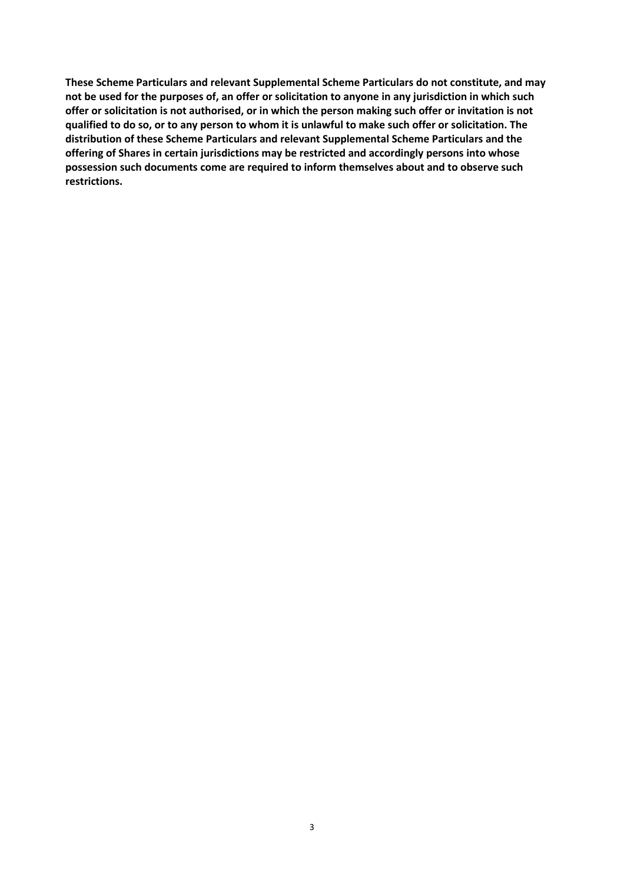**These Scheme Particulars and relevant Supplemental Scheme Particulars do not constitute, and may not be used for the purposes of, an offer or solicitation to anyone in any jurisdiction in which such offer or solicitation is not authorised, or in which the person making such offer or invitation is not qualified to do so, or to any person to whom it is unlawful to make such offer or solicitation. The distribution of these Scheme Particulars and relevant Supplemental Scheme Particulars and the offering of Shares in certain jurisdictions may be restricted and accordingly persons into whose possession such documents come are required to inform themselves about and to observe such restrictions.**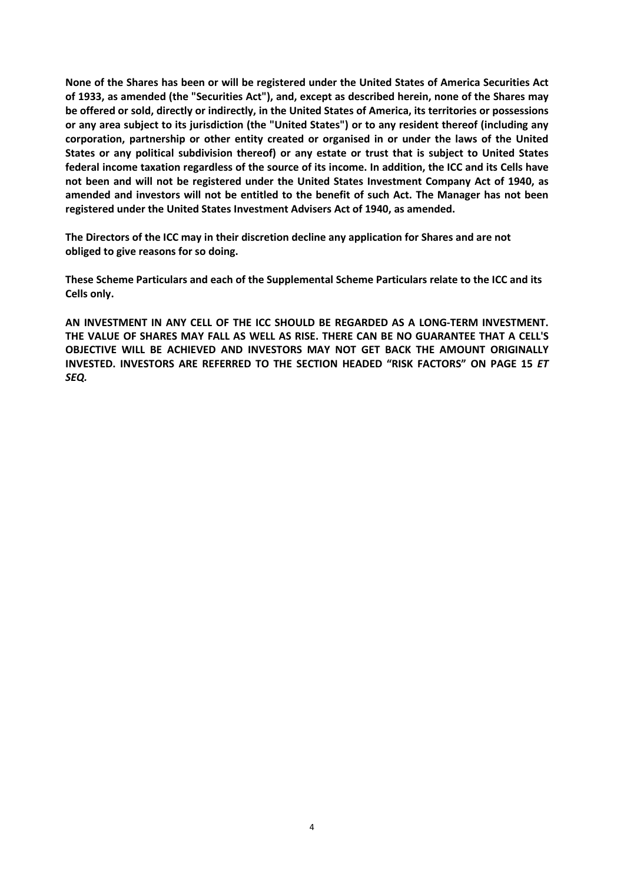**None of the Shares has been or will be registered under the United States of America Securities Act of 1933, as amended (the "Securities Act"), and, except as described herein, none of the Shares may be offered or sold, directly or indirectly, in the United States of America, its territories or possessions or any area subject to its jurisdiction (the "United States") or to any resident thereof (including any corporation, partnership or other entity created or organised in or under the laws of the United States or any political subdivision thereof) or any estate or trust that is subject to United States federal income taxation regardless of the source of its income. In addition, the ICC and its Cells have not been and will not be registered under the United States Investment Company Act of 1940, as amended and investors will not be entitled to the benefit of such Act. The Manager has not been registered under the United States Investment Advisers Act of 1940, as amended.** 

**The Directors of the ICC may in their discretion decline any application for Shares and are not obliged to give reasons for so doing.** 

**These Scheme Particulars and each of the Supplemental Scheme Particulars relate to the ICC and its Cells only.** 

**AN INVESTMENT IN ANY CELL OF THE ICC SHOULD BE REGARDED AS A LONG-TERM INVESTMENT. THE VALUE OF SHARES MAY FALL AS WELL AS RISE. THERE CAN BE NO GUARANTEE THAT A CELL'S OBJECTIVE WILL BE ACHIEVED AND INVESTORS MAY NOT GET BACK THE AMOUNT ORIGINALLY INVESTED. INVESTORS ARE REFERRED TO THE SECTION HEADED "RISK FACTORS" ON PAGE 15** *ET SEQ.*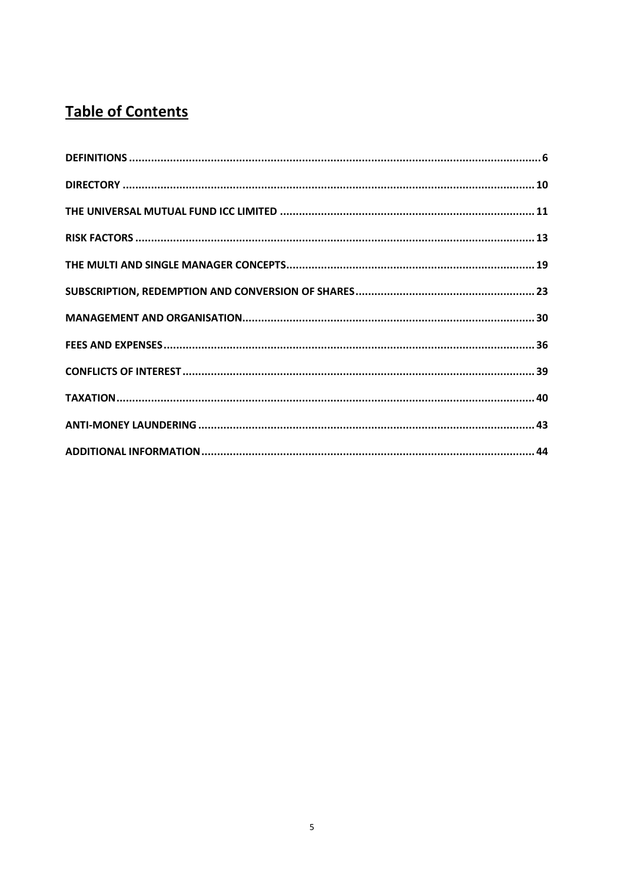# **Table of Contents**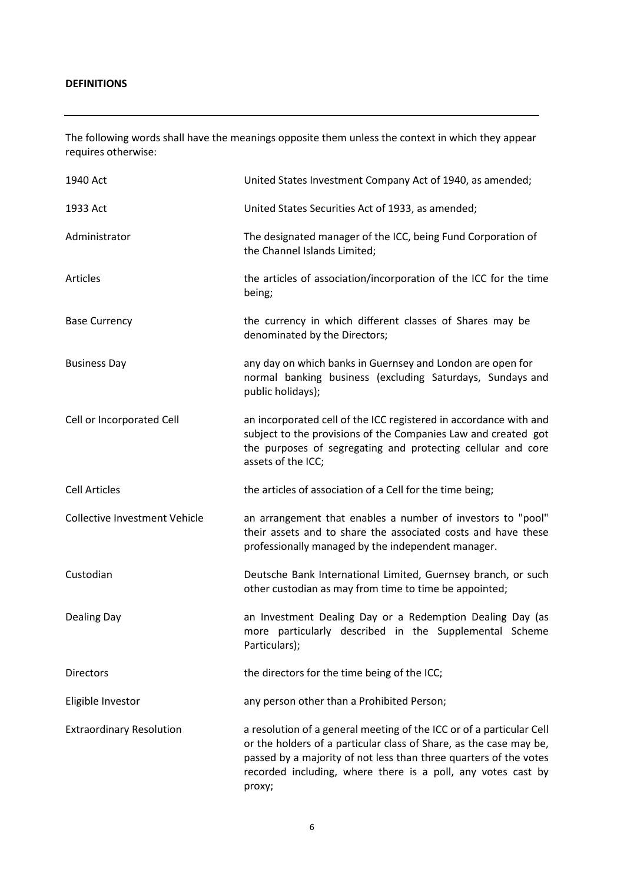The following words shall have the meanings opposite them unless the context in which they appear requires otherwise:

| 1940 Act                             | United States Investment Company Act of 1940, as amended;                                                                                                                                                                                                                                 |
|--------------------------------------|-------------------------------------------------------------------------------------------------------------------------------------------------------------------------------------------------------------------------------------------------------------------------------------------|
| 1933 Act                             | United States Securities Act of 1933, as amended;                                                                                                                                                                                                                                         |
| Administrator                        | The designated manager of the ICC, being Fund Corporation of<br>the Channel Islands Limited;                                                                                                                                                                                              |
| <b>Articles</b>                      | the articles of association/incorporation of the ICC for the time<br>being;                                                                                                                                                                                                               |
| <b>Base Currency</b>                 | the currency in which different classes of Shares may be<br>denominated by the Directors;                                                                                                                                                                                                 |
| <b>Business Day</b>                  | any day on which banks in Guernsey and London are open for<br>normal banking business (excluding Saturdays, Sundays and<br>public holidays);                                                                                                                                              |
| Cell or Incorporated Cell            | an incorporated cell of the ICC registered in accordance with and<br>subject to the provisions of the Companies Law and created got<br>the purposes of segregating and protecting cellular and core<br>assets of the ICC;                                                                 |
| <b>Cell Articles</b>                 | the articles of association of a Cell for the time being;                                                                                                                                                                                                                                 |
| <b>Collective Investment Vehicle</b> | an arrangement that enables a number of investors to "pool"<br>their assets and to share the associated costs and have these<br>professionally managed by the independent manager.                                                                                                        |
| Custodian                            | Deutsche Bank International Limited, Guernsey branch, or such<br>other custodian as may from time to time be appointed;                                                                                                                                                                   |
| <b>Dealing Day</b>                   | an Investment Dealing Day or a Redemption Dealing Day (as<br>more particularly described in the Supplemental Scheme<br>Particulars);                                                                                                                                                      |
| <b>Directors</b>                     | the directors for the time being of the ICC;                                                                                                                                                                                                                                              |
| Eligible Investor                    | any person other than a Prohibited Person;                                                                                                                                                                                                                                                |
| <b>Extraordinary Resolution</b>      | a resolution of a general meeting of the ICC or of a particular Cell<br>or the holders of a particular class of Share, as the case may be,<br>passed by a majority of not less than three quarters of the votes<br>recorded including, where there is a poll, any votes cast by<br>proxy; |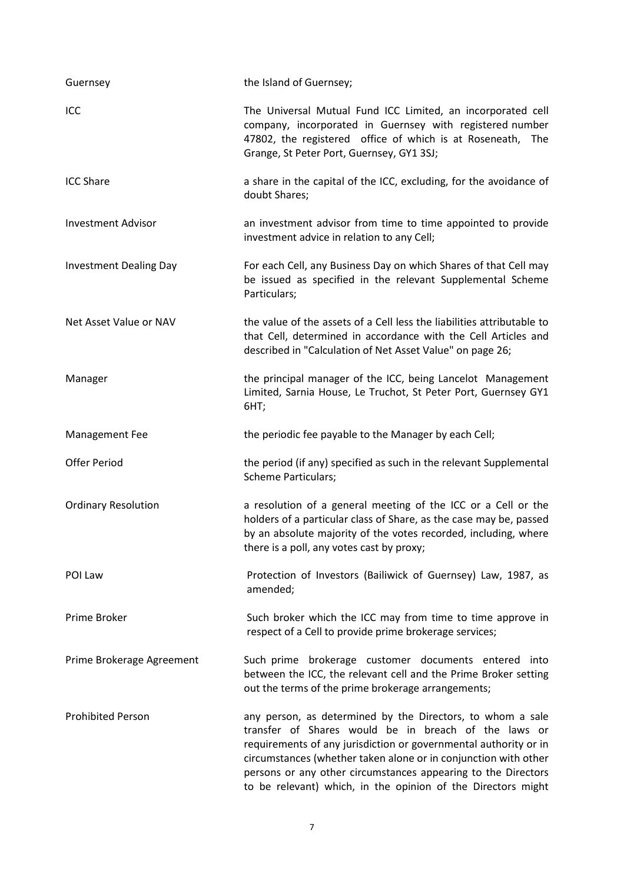| Guernsey                      | the Island of Guernsey;                                                                                                                                                                                                                                                                                                                                                                    |
|-------------------------------|--------------------------------------------------------------------------------------------------------------------------------------------------------------------------------------------------------------------------------------------------------------------------------------------------------------------------------------------------------------------------------------------|
| ICC                           | The Universal Mutual Fund ICC Limited, an incorporated cell<br>company, incorporated in Guernsey with registered number<br>47802, the registered office of which is at Roseneath, The<br>Grange, St Peter Port, Guernsey, GY1 3SJ;                                                                                                                                                         |
| <b>ICC Share</b>              | a share in the capital of the ICC, excluding, for the avoidance of<br>doubt Shares;                                                                                                                                                                                                                                                                                                        |
| <b>Investment Advisor</b>     | an investment advisor from time to time appointed to provide<br>investment advice in relation to any Cell;                                                                                                                                                                                                                                                                                 |
| <b>Investment Dealing Day</b> | For each Cell, any Business Day on which Shares of that Cell may<br>be issued as specified in the relevant Supplemental Scheme<br>Particulars;                                                                                                                                                                                                                                             |
| Net Asset Value or NAV        | the value of the assets of a Cell less the liabilities attributable to<br>that Cell, determined in accordance with the Cell Articles and<br>described in "Calculation of Net Asset Value" on page 26;                                                                                                                                                                                      |
| Manager                       | the principal manager of the ICC, being Lancelot Management<br>Limited, Sarnia House, Le Truchot, St Peter Port, Guernsey GY1<br>6HT;                                                                                                                                                                                                                                                      |
| Management Fee                | the periodic fee payable to the Manager by each Cell;                                                                                                                                                                                                                                                                                                                                      |
| <b>Offer Period</b>           | the period (if any) specified as such in the relevant Supplemental<br><b>Scheme Particulars;</b>                                                                                                                                                                                                                                                                                           |
| <b>Ordinary Resolution</b>    | a resolution of a general meeting of the ICC or a Cell or the<br>holders of a particular class of Share, as the case may be, passed<br>by an absolute majority of the votes recorded, including, where<br>there is a poll, any votes cast by proxy;                                                                                                                                        |
| POI Law                       | Protection of Investors (Bailiwick of Guernsey) Law, 1987, as<br>amended;                                                                                                                                                                                                                                                                                                                  |
| Prime Broker                  | Such broker which the ICC may from time to time approve in<br>respect of a Cell to provide prime brokerage services;                                                                                                                                                                                                                                                                       |
| Prime Brokerage Agreement     | Such prime brokerage customer documents entered<br>into<br>between the ICC, the relevant cell and the Prime Broker setting<br>out the terms of the prime brokerage arrangements;                                                                                                                                                                                                           |
| <b>Prohibited Person</b>      | any person, as determined by the Directors, to whom a sale<br>transfer of Shares would be in breach of the laws or<br>requirements of any jurisdiction or governmental authority or in<br>circumstances (whether taken alone or in conjunction with other<br>persons or any other circumstances appearing to the Directors<br>to be relevant) which, in the opinion of the Directors might |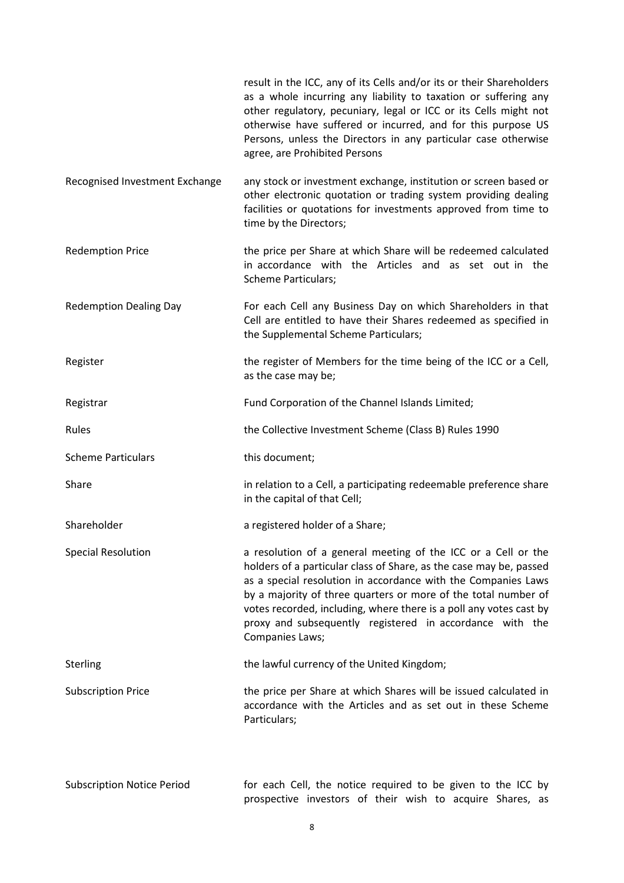|                                   | result in the ICC, any of its Cells and/or its or their Shareholders<br>as a whole incurring any liability to taxation or suffering any<br>other regulatory, pecuniary, legal or ICC or its Cells might not<br>otherwise have suffered or incurred, and for this purpose US<br>Persons, unless the Directors in any particular case otherwise<br>agree, are Prohibited Persons                                              |
|-----------------------------------|-----------------------------------------------------------------------------------------------------------------------------------------------------------------------------------------------------------------------------------------------------------------------------------------------------------------------------------------------------------------------------------------------------------------------------|
| Recognised Investment Exchange    | any stock or investment exchange, institution or screen based or<br>other electronic quotation or trading system providing dealing<br>facilities or quotations for investments approved from time to<br>time by the Directors;                                                                                                                                                                                              |
| <b>Redemption Price</b>           | the price per Share at which Share will be redeemed calculated<br>in accordance with the Articles and as set out in the<br><b>Scheme Particulars;</b>                                                                                                                                                                                                                                                                       |
| <b>Redemption Dealing Day</b>     | For each Cell any Business Day on which Shareholders in that<br>Cell are entitled to have their Shares redeemed as specified in<br>the Supplemental Scheme Particulars;                                                                                                                                                                                                                                                     |
| Register                          | the register of Members for the time being of the ICC or a Cell,<br>as the case may be;                                                                                                                                                                                                                                                                                                                                     |
| Registrar                         | Fund Corporation of the Channel Islands Limited;                                                                                                                                                                                                                                                                                                                                                                            |
| Rules                             | the Collective Investment Scheme (Class B) Rules 1990                                                                                                                                                                                                                                                                                                                                                                       |
| <b>Scheme Particulars</b>         | this document;                                                                                                                                                                                                                                                                                                                                                                                                              |
| Share                             | in relation to a Cell, a participating redeemable preference share<br>in the capital of that Cell;                                                                                                                                                                                                                                                                                                                          |
| Shareholder                       | a registered holder of a Share;                                                                                                                                                                                                                                                                                                                                                                                             |
| <b>Special Resolution</b>         | a resolution of a general meeting of the ICC or a Cell or the<br>holders of a particular class of Share, as the case may be, passed<br>as a special resolution in accordance with the Companies Laws<br>by a majority of three quarters or more of the total number of<br>votes recorded, including, where there is a poll any votes cast by<br>proxy and subsequently registered in accordance with the<br>Companies Laws; |
| Sterling                          | the lawful currency of the United Kingdom;                                                                                                                                                                                                                                                                                                                                                                                  |
| <b>Subscription Price</b>         | the price per Share at which Shares will be issued calculated in<br>accordance with the Articles and as set out in these Scheme<br>Particulars;                                                                                                                                                                                                                                                                             |
| <b>Subscription Notice Period</b> | for each Cell, the notice required to be given to the ICC by<br>prospective investors of their wish to acquire Shares, as                                                                                                                                                                                                                                                                                                   |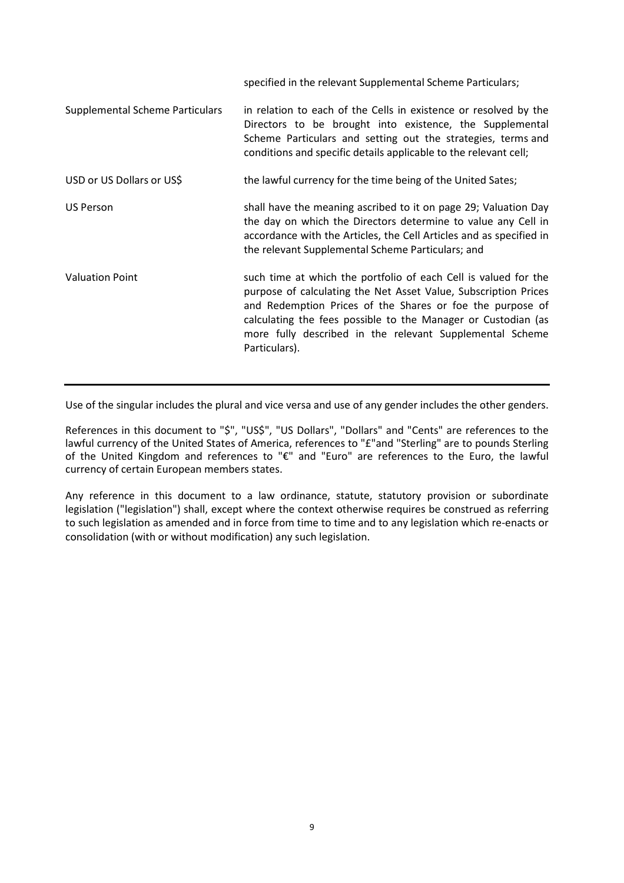|                                        | specified in the relevant Supplemental Scheme Particulars;                                                                                                                                                                                                                                                                                    |
|----------------------------------------|-----------------------------------------------------------------------------------------------------------------------------------------------------------------------------------------------------------------------------------------------------------------------------------------------------------------------------------------------|
| <b>Supplemental Scheme Particulars</b> | in relation to each of the Cells in existence or resolved by the<br>Directors to be brought into existence, the Supplemental<br>Scheme Particulars and setting out the strategies, terms and<br>conditions and specific details applicable to the relevant cell;                                                                              |
| USD or US Dollars or US\$              | the lawful currency for the time being of the United Sates;                                                                                                                                                                                                                                                                                   |
| <b>US Person</b>                       | shall have the meaning ascribed to it on page 29; Valuation Day<br>the day on which the Directors determine to value any Cell in<br>accordance with the Articles, the Cell Articles and as specified in<br>the relevant Supplemental Scheme Particulars; and                                                                                  |
| <b>Valuation Point</b>                 | such time at which the portfolio of each Cell is valued for the<br>purpose of calculating the Net Asset Value, Subscription Prices<br>and Redemption Prices of the Shares or foe the purpose of<br>calculating the fees possible to the Manager or Custodian (as<br>more fully described in the relevant Supplemental Scheme<br>Particulars). |

Use of the singular includes the plural and vice versa and use of any gender includes the other genders.

References in this document to "\$", "US\$", "US Dollars", "Dollars" and "Cents" are references to the lawful currency of the United States of America, references to "£"and "Sterling" are to pounds Sterling of the United Kingdom and references to "€" and "Euro" are references to the Euro, the lawful currency of certain European members states.

Any reference in this document to a law ordinance, statute, statutory provision or subordinate legislation ("legislation") shall, except where the context otherwise requires be construed as referring to such legislation as amended and in force from time to time and to any legislation which re-enacts or consolidation (with or without modification) any such legislation.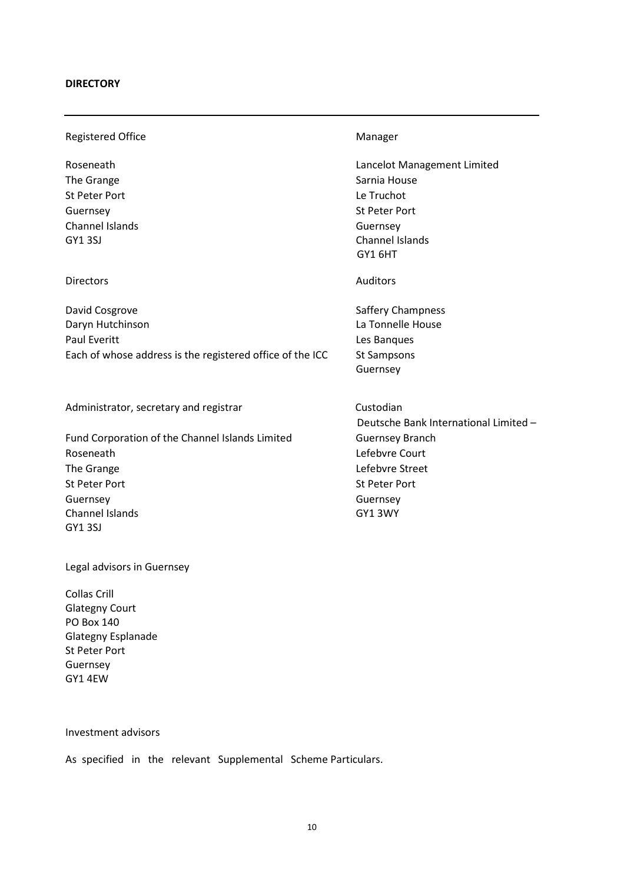### **DIRECTORY**

Registered Office **Manager** Manager

The Grange Sarnia House Sarnia House St Peter Port Le Truchot Guernsey **St Peter Port** Channel Islands Guernsey

## Directors Auditors Auditors Auditors Auditors Auditors Auditors Auditors Auditors Auditors Auditors Auditors Auditors Auditors Auditors Auditors Auditors Auditors Auditors Auditors Auditors Auditors Auditors Auditors Audit

David Cosgrove **Saffery Champness** Daryn Hutchinson La Tonnelle House Paul Everitt **Les Banques** Each of whose address is the registered office of the ICC St Sampsons

Administrator, secretary and registrar metal custodian

Fund Corporation of the Channel Islands Limited Guernsey Branch Roseneath **Lefebvre Court** The Grange **Lefebvre** Street St Peter Port St Peter Port Guernsey **Guernsey** Guernsey Channel Islands GY1 3WY GY1 3SJ

Legal advisors in Guernsey

Collas Crill Glategny Court PO Box 140 Glategny Esplanade St Peter Port Guernsey GY1 4EW

Roseneath **Lancelot Management Limited Lancelot Management Limited** GY1 3SJ Channel Islands GY1 6HT

Guernsey

Deutsche Bank International Limited –

Investment advisors

As specified in the relevant Supplemental Scheme Particulars.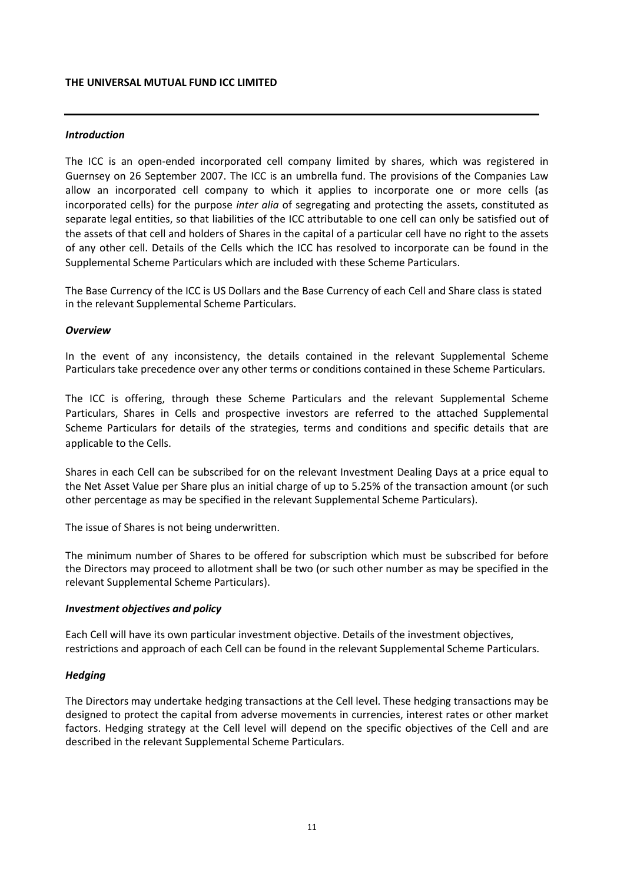#### **THE UNIVERSAL MUTUAL FUND ICC LIMITED**

## *Introduction*

The ICC is an open-ended incorporated cell company limited by shares, which was registered in Guernsey on 26 September 2007. The ICC is an umbrella fund. The provisions of the Companies Law allow an incorporated cell company to which it applies to incorporate one or more cells (as incorporated cells) for the purpose *inter alia* of segregating and protecting the assets, constituted as separate legal entities, so that liabilities of the ICC attributable to one cell can only be satisfied out of the assets of that cell and holders of Shares in the capital of a particular cell have no right to the assets of any other cell. Details of the Cells which the ICC has resolved to incorporate can be found in the Supplemental Scheme Particulars which are included with these Scheme Particulars.

The Base Currency of the ICC is US Dollars and the Base Currency of each Cell and Share class is stated in the relevant Supplemental Scheme Particulars.

### *Overview*

In the event of any inconsistency, the details contained in the relevant Supplemental Scheme Particulars take precedence over any other terms or conditions contained in these Scheme Particulars.

The ICC is offering, through these Scheme Particulars and the relevant Supplemental Scheme Particulars, Shares in Cells and prospective investors are referred to the attached Supplemental Scheme Particulars for details of the strategies, terms and conditions and specific details that are applicable to the Cells.

Shares in each Cell can be subscribed for on the relevant Investment Dealing Days at a price equal to the Net Asset Value per Share plus an initial charge of up to 5.25% of the transaction amount (or such other percentage as may be specified in the relevant Supplemental Scheme Particulars).

The issue of Shares is not being underwritten.

The minimum number of Shares to be offered for subscription which must be subscribed for before the Directors may proceed to allotment shall be two (or such other number as may be specified in the relevant Supplemental Scheme Particulars).

#### *Investment objectives and policy*

Each Cell will have its own particular investment objective. Details of the investment objectives, restrictions and approach of each Cell can be found in the relevant Supplemental Scheme Particulars.

#### *Hedging*

The Directors may undertake hedging transactions at the Cell level. These hedging transactions may be designed to protect the capital from adverse movements in currencies, interest rates or other market factors. Hedging strategy at the Cell level will depend on the specific objectives of the Cell and are described in the relevant Supplemental Scheme Particulars.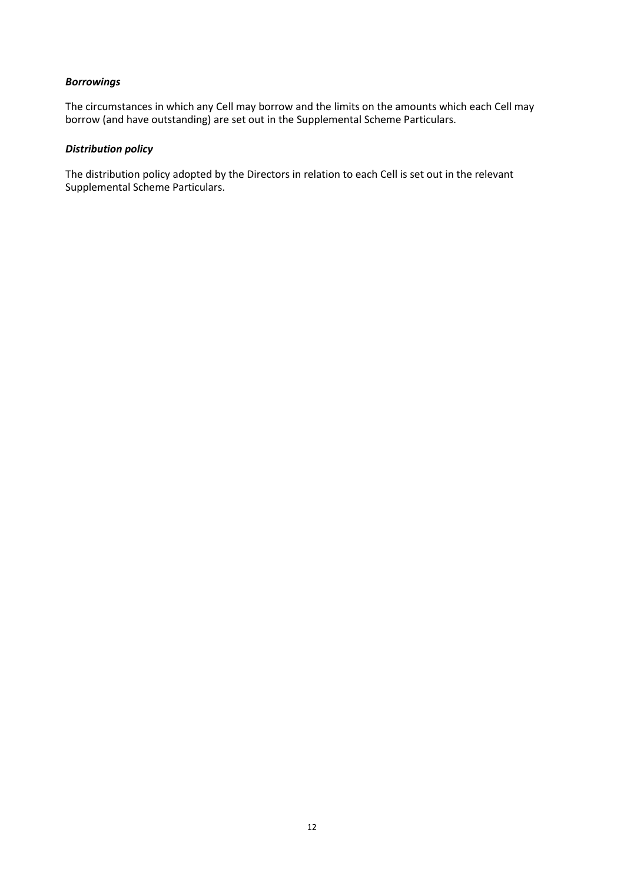## *Borrowings*

The circumstances in which any Cell may borrow and the limits on the amounts which each Cell may borrow (and have outstanding) are set out in the Supplemental Scheme Particulars.

## *Distribution policy*

The distribution policy adopted by the Directors in relation to each Cell is set out in the relevant Supplemental Scheme Particulars.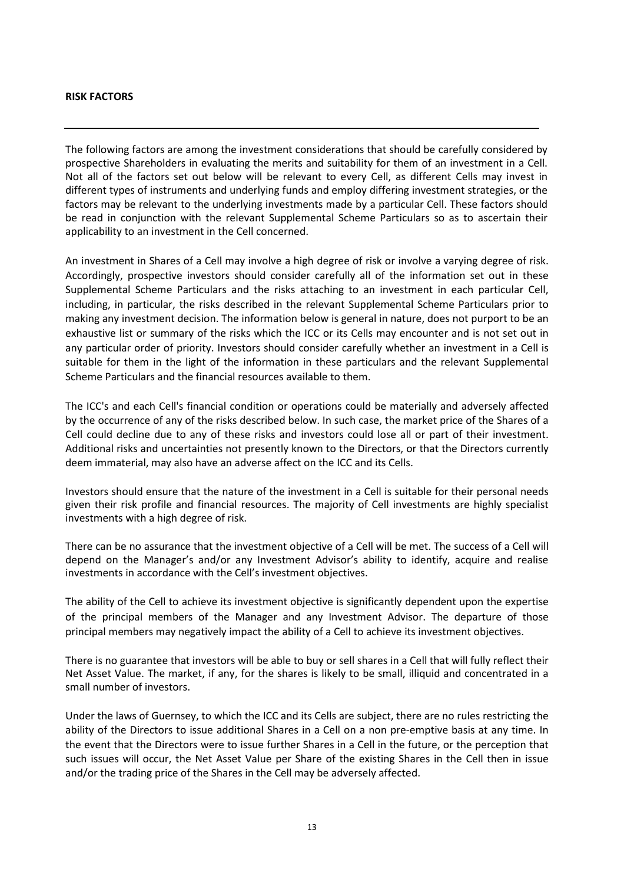#### **RISK FACTORS**

The following factors are among the investment considerations that should be carefully considered by prospective Shareholders in evaluating the merits and suitability for them of an investment in a Cell. Not all of the factors set out below will be relevant to every Cell, as different Cells may invest in different types of instruments and underlying funds and employ differing investment strategies, or the factors may be relevant to the underlying investments made by a particular Cell. These factors should be read in conjunction with the relevant Supplemental Scheme Particulars so as to ascertain their applicability to an investment in the Cell concerned.

An investment in Shares of a Cell may involve a high degree of risk or involve a varying degree of risk. Accordingly, prospective investors should consider carefully all of the information set out in these Supplemental Scheme Particulars and the risks attaching to an investment in each particular Cell, including, in particular, the risks described in the relevant Supplemental Scheme Particulars prior to making any investment decision. The information below is general in nature, does not purport to be an exhaustive list or summary of the risks which the ICC or its Cells may encounter and is not set out in any particular order of priority. Investors should consider carefully whether an investment in a Cell is suitable for them in the light of the information in these particulars and the relevant Supplemental Scheme Particulars and the financial resources available to them.

The ICC's and each Cell's financial condition or operations could be materially and adversely affected by the occurrence of any of the risks described below. In such case, the market price of the Shares of a Cell could decline due to any of these risks and investors could lose all or part of their investment. Additional risks and uncertainties not presently known to the Directors, or that the Directors currently deem immaterial, may also have an adverse affect on the ICC and its Cells.

Investors should ensure that the nature of the investment in a Cell is suitable for their personal needs given their risk profile and financial resources. The majority of Cell investments are highly specialist investments with a high degree of risk.

There can be no assurance that the investment objective of a Cell will be met. The success of a Cell will depend on the Manager's and/or any Investment Advisor's ability to identify, acquire and realise investments in accordance with the Cell's investment objectives.

The ability of the Cell to achieve its investment objective is significantly dependent upon the expertise of the principal members of the Manager and any Investment Advisor. The departure of those principal members may negatively impact the ability of a Cell to achieve its investment objectives.

There is no guarantee that investors will be able to buy or sell shares in a Cell that will fully reflect their Net Asset Value. The market, if any, for the shares is likely to be small, illiquid and concentrated in a small number of investors.

Under the laws of Guernsey, to which the ICC and its Cells are subject, there are no rules restricting the ability of the Directors to issue additional Shares in a Cell on a non pre-emptive basis at any time. In the event that the Directors were to issue further Shares in a Cell in the future, or the perception that such issues will occur, the Net Asset Value per Share of the existing Shares in the Cell then in issue and/or the trading price of the Shares in the Cell may be adversely affected.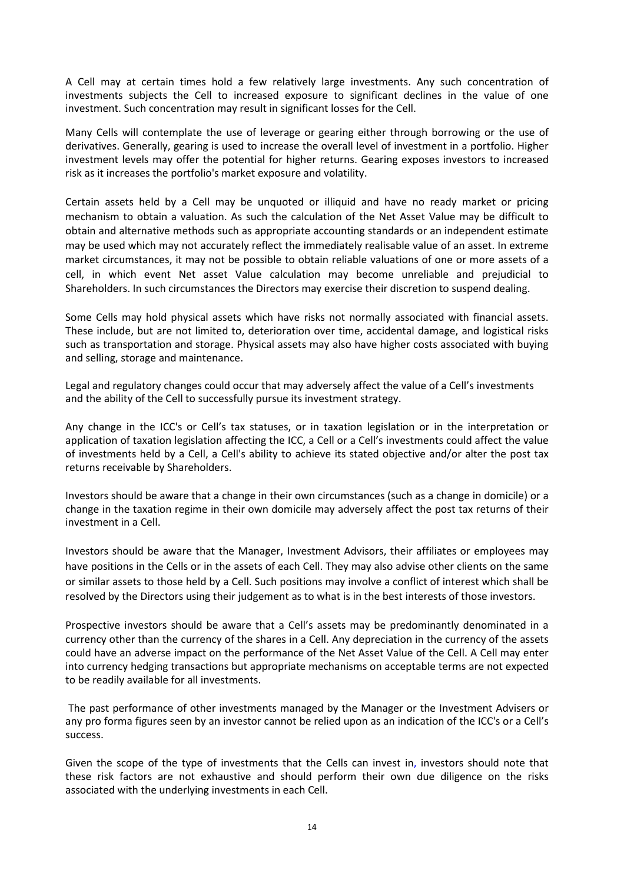A Cell may at certain times hold a few relatively large investments. Any such concentration of investments subjects the Cell to increased exposure to significant declines in the value of one investment. Such concentration may result in significant losses for the Cell.

Many Cells will contemplate the use of leverage or gearing either through borrowing or the use of derivatives. Generally, gearing is used to increase the overall level of investment in a portfolio. Higher investment levels may offer the potential for higher returns. Gearing exposes investors to increased risk as it increases the portfolio's market exposure and volatility.

Certain assets held by a Cell may be unquoted or illiquid and have no ready market or pricing mechanism to obtain a valuation. As such the calculation of the Net Asset Value may be difficult to obtain and alternative methods such as appropriate accounting standards or an independent estimate may be used which may not accurately reflect the immediately realisable value of an asset. In extreme market circumstances, it may not be possible to obtain reliable valuations of one or more assets of a cell, in which event Net asset Value calculation may become unreliable and prejudicial to Shareholders. In such circumstances the Directors may exercise their discretion to suspend dealing.

Some Cells may hold physical assets which have risks not normally associated with financial assets. These include, but are not limited to, deterioration over time, accidental damage, and logistical risks such as transportation and storage. Physical assets may also have higher costs associated with buying and selling, storage and maintenance.

Legal and regulatory changes could occur that may adversely affect the value of a Cell's investments and the ability of the Cell to successfully pursue its investment strategy.

Any change in the ICC's or Cell's tax statuses, or in taxation legislation or in the interpretation or application of taxation legislation affecting the ICC, a Cell or a Cell's investments could affect the value of investments held by a Cell, a Cell's ability to achieve its stated objective and/or alter the post tax returns receivable by Shareholders.

Investors should be aware that a change in their own circumstances (such as a change in domicile) or a change in the taxation regime in their own domicile may adversely affect the post tax returns of their investment in a Cell.

Investors should be aware that the Manager, Investment Advisors, their affiliates or employees may have positions in the Cells or in the assets of each Cell. They may also advise other clients on the same or similar assets to those held by a Cell. Such positions may involve a conflict of interest which shall be resolved by the Directors using their judgement as to what is in the best interests of those investors.

Prospective investors should be aware that a Cell's assets may be predominantly denominated in a currency other than the currency of the shares in a Cell. Any depreciation in the currency of the assets could have an adverse impact on the performance of the Net Asset Value of the Cell. A Cell may enter into currency hedging transactions but appropriate mechanisms on acceptable terms are not expected to be readily available for all investments.

The past performance of other investments managed by the Manager or the Investment Advisers or any pro forma figures seen by an investor cannot be relied upon as an indication of the ICC's or a Cell's success.

Given the scope of the type of investments that the Cells can invest in, investors should note that these risk factors are not exhaustive and should perform their own due diligence on the risks associated with the underlying investments in each Cell.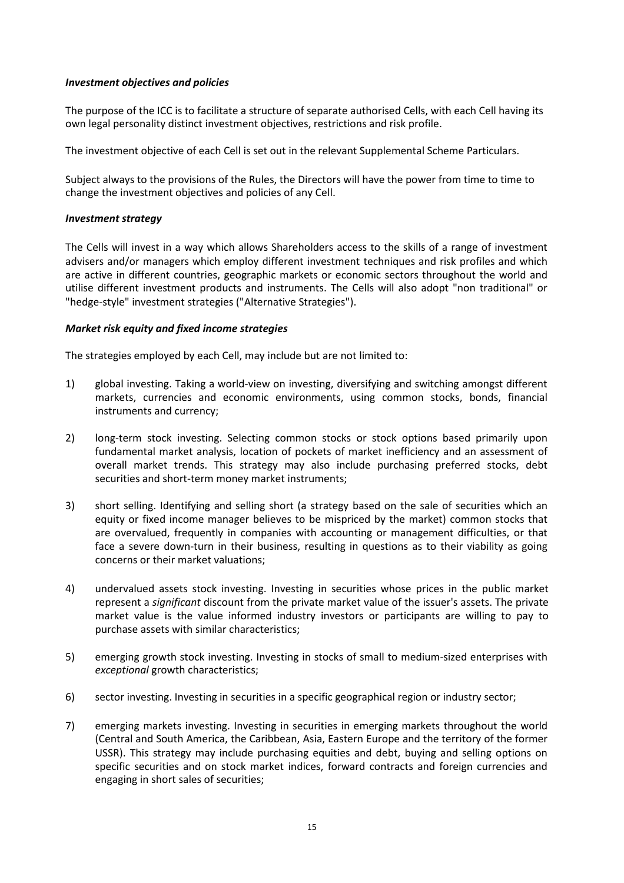## *Investment objectives and policies*

The purpose of the ICC is to facilitate a structure of separate authorised Cells, with each Cell having its own legal personality distinct investment objectives, restrictions and risk profile.

The investment objective of each Cell is set out in the relevant Supplemental Scheme Particulars.

Subject always to the provisions of the Rules, the Directors will have the power from time to time to change the investment objectives and policies of any Cell.

### *Investment strategy*

The Cells will invest in a way which allows Shareholders access to the skills of a range of investment advisers and/or managers which employ different investment techniques and risk profiles and which are active in different countries, geographic markets or economic sectors throughout the world and utilise different investment products and instruments. The Cells will also adopt "non traditional" or "hedge-style" investment strategies ("Alternative Strategies").

## *Market risk equity and fixed income strategies*

The strategies employed by each Cell, may include but are not limited to:

- 1) global investing. Taking a world-view on investing, diversifying and switching amongst different markets, currencies and economic environments, using common stocks, bonds, financial instruments and currency;
- 2) long-term stock investing. Selecting common stocks or stock options based primarily upon fundamental market analysis, location of pockets of market inefficiency and an assessment of overall market trends. This strategy may also include purchasing preferred stocks, debt securities and short-term money market instruments;
- 3) short selling. Identifying and selling short (a strategy based on the sale of securities which an equity or fixed income manager believes to be mispriced by the market) common stocks that are overvalued, frequently in companies with accounting or management difficulties, or that face a severe down-turn in their business, resulting in questions as to their viability as going concerns or their market valuations;
- 4) undervalued assets stock investing. Investing in securities whose prices in the public market represent a *significant* discount from the private market value of the issuer's assets. The private market value is the value informed industry investors or participants are willing to pay to purchase assets with similar characteristics;
- 5) emerging growth stock investing. Investing in stocks of small to medium-sized enterprises with *exceptional* growth characteristics;
- 6) sector investing. Investing in securities in a specific geographical region or industry sector;
- 7) emerging markets investing. Investing in securities in emerging markets throughout the world (Central and South America, the Caribbean, Asia, Eastern Europe and the territory of the former USSR). This strategy may include purchasing equities and debt, buying and selling options on specific securities and on stock market indices, forward contracts and foreign currencies and engaging in short sales of securities;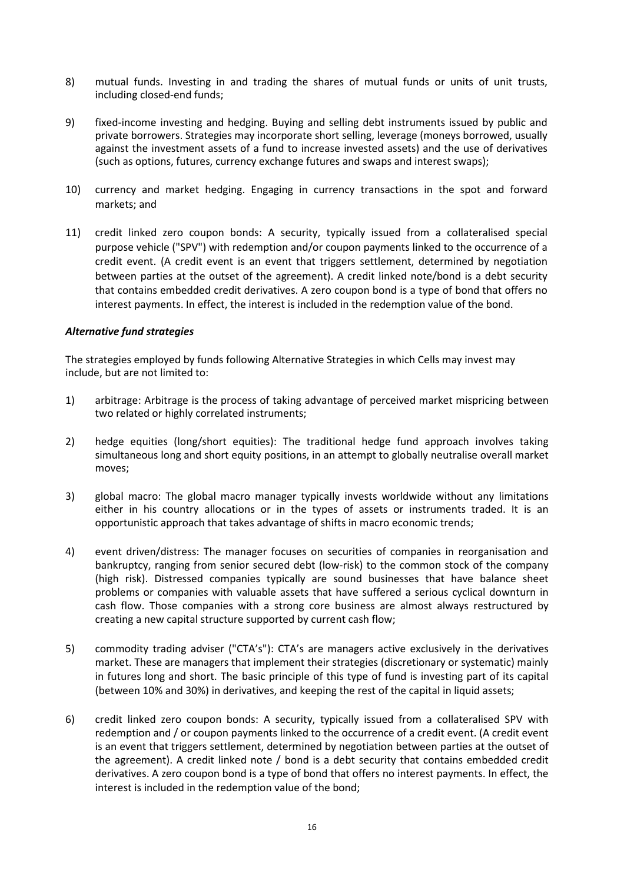- 8) mutual funds. Investing in and trading the shares of mutual funds or units of unit trusts, including closed-end funds;
- 9) fixed-income investing and hedging. Buying and selling debt instruments issued by public and private borrowers. Strategies may incorporate short selling, leverage (moneys borrowed, usually against the investment assets of a fund to increase invested assets) and the use of derivatives (such as options, futures, currency exchange futures and swaps and interest swaps);
- 10) currency and market hedging. Engaging in currency transactions in the spot and forward markets; and
- 11) credit linked zero coupon bonds: A security, typically issued from a collateralised special purpose vehicle ("SPV") with redemption and/or coupon payments linked to the occurrence of a credit event. (A credit event is an event that triggers settlement, determined by negotiation between parties at the outset of the agreement). A credit linked note/bond is a debt security that contains embedded credit derivatives. A zero coupon bond is a type of bond that offers no interest payments. In effect, the interest is included in the redemption value of the bond.

### *Alternative fund strategies*

The strategies employed by funds following Alternative Strategies in which Cells may invest may include, but are not limited to:

- 1) arbitrage: Arbitrage is the process of taking advantage of perceived market mispricing between two related or highly correlated instruments;
- 2) hedge equities (long/short equities): The traditional hedge fund approach involves taking simultaneous long and short equity positions, in an attempt to globally neutralise overall market moves;
- 3) global macro: The global macro manager typically invests worldwide without any limitations either in his country allocations or in the types of assets or instruments traded. It is an opportunistic approach that takes advantage of shifts in macro economic trends;
- 4) event driven/distress: The manager focuses on securities of companies in reorganisation and bankruptcy, ranging from senior secured debt (low-risk) to the common stock of the company (high risk). Distressed companies typically are sound businesses that have balance sheet problems or companies with valuable assets that have suffered a serious cyclical downturn in cash flow. Those companies with a strong core business are almost always restructured by creating a new capital structure supported by current cash flow;
- 5) commodity trading adviser ("CTA's"): CTA's are managers active exclusively in the derivatives market. These are managers that implement their strategies (discretionary or systematic) mainly in futures long and short. The basic principle of this type of fund is investing part of its capital (between 10% and 30%) in derivatives, and keeping the rest of the capital in liquid assets;
- 6) credit linked zero coupon bonds: A security, typically issued from a collateralised SPV with redemption and / or coupon payments linked to the occurrence of a credit event. (A credit event is an event that triggers settlement, determined by negotiation between parties at the outset of the agreement). A credit linked note / bond is a debt security that contains embedded credit derivatives. A zero coupon bond is a type of bond that offers no interest payments. In effect, the interest is included in the redemption value of the bond;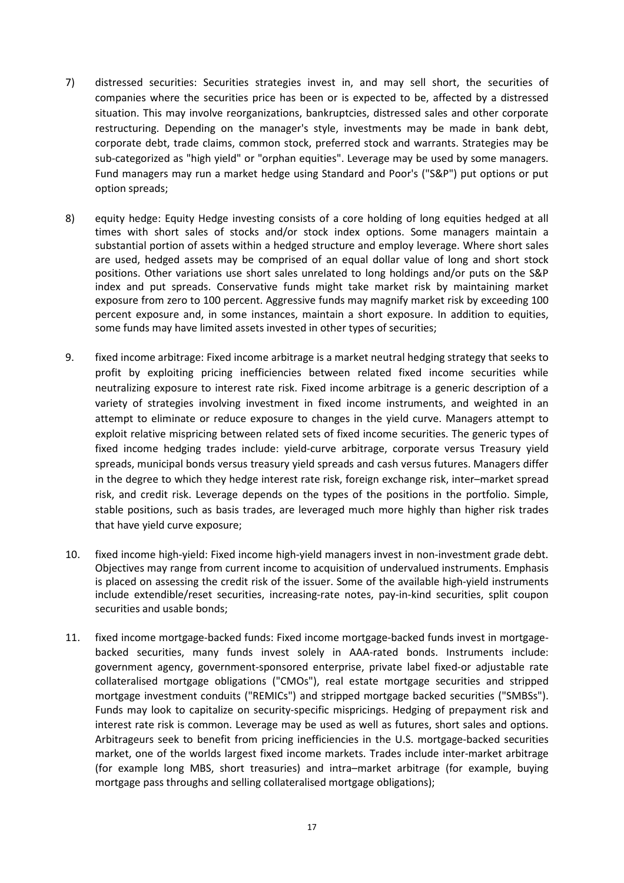- 7) distressed securities: Securities strategies invest in, and may sell short, the securities of companies where the securities price has been or is expected to be, affected by a distressed situation. This may involve reorganizations, bankruptcies, distressed sales and other corporate restructuring. Depending on the manager's style, investments may be made in bank debt, corporate debt, trade claims, common stock, preferred stock and warrants. Strategies may be sub-categorized as "high yield" or "orphan equities". Leverage may be used by some managers. Fund managers may run a market hedge using Standard and Poor's ("S&P") put options or put option spreads;
- 8) equity hedge: Equity Hedge investing consists of a core holding of long equities hedged at all times with short sales of stocks and/or stock index options. Some managers maintain a substantial portion of assets within a hedged structure and employ leverage. Where short sales are used, hedged assets may be comprised of an equal dollar value of long and short stock positions. Other variations use short sales unrelated to long holdings and/or puts on the S&P index and put spreads. Conservative funds might take market risk by maintaining market exposure from zero to 100 percent. Aggressive funds may magnify market risk by exceeding 100 percent exposure and, in some instances, maintain a short exposure. In addition to equities, some funds may have limited assets invested in other types of securities;
- 9. fixed income arbitrage: Fixed income arbitrage is a market neutral hedging strategy that seeks to profit by exploiting pricing inefficiencies between related fixed income securities while neutralizing exposure to interest rate risk. Fixed income arbitrage is a generic description of a variety of strategies involving investment in fixed income instruments, and weighted in an attempt to eliminate or reduce exposure to changes in the yield curve. Managers attempt to exploit relative mispricing between related sets of fixed income securities. The generic types of fixed income hedging trades include: yield-curve arbitrage, corporate versus Treasury yield spreads, municipal bonds versus treasury yield spreads and cash versus futures. Managers differ in the degree to which they hedge interest rate risk, foreign exchange risk, inter–market spread risk, and credit risk. Leverage depends on the types of the positions in the portfolio. Simple, stable positions, such as basis trades, are leveraged much more highly than higher risk trades that have yield curve exposure;
- 10. fixed income high-yield: Fixed income high-yield managers invest in non-investment grade debt. Objectives may range from current income to acquisition of undervalued instruments. Emphasis is placed on assessing the credit risk of the issuer. Some of the available high-yield instruments include extendible/reset securities, increasing-rate notes, pay-in-kind securities, split coupon securities and usable bonds;
- 11. fixed income mortgage-backed funds: Fixed income mortgage-backed funds invest in mortgagebacked securities, many funds invest solely in AAA-rated bonds. Instruments include: government agency, government-sponsored enterprise, private label fixed-or adjustable rate collateralised mortgage obligations ("CMOs"), real estate mortgage securities and stripped mortgage investment conduits ("REMICs") and stripped mortgage backed securities ("SMBSs"). Funds may look to capitalize on security-specific mispricings. Hedging of prepayment risk and interest rate risk is common. Leverage may be used as well as futures, short sales and options. Arbitrageurs seek to benefit from pricing inefficiencies in the U.S. mortgage-backed securities market, one of the worlds largest fixed income markets. Trades include inter-market arbitrage (for example long MBS, short treasuries) and intra–market arbitrage (for example, buying mortgage pass throughs and selling collateralised mortgage obligations);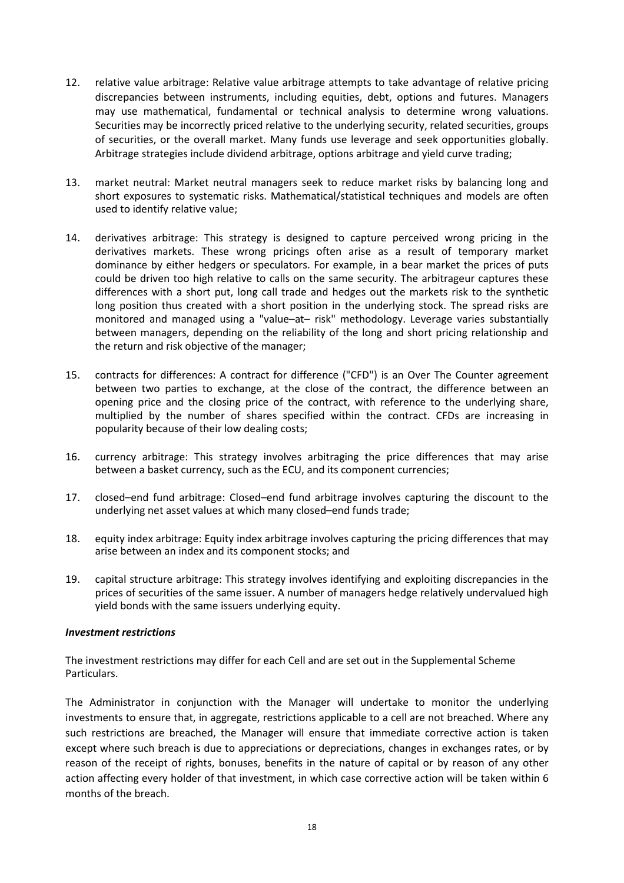- 12. relative value arbitrage: Relative value arbitrage attempts to take advantage of relative pricing discrepancies between instruments, including equities, debt, options and futures. Managers may use mathematical, fundamental or technical analysis to determine wrong valuations. Securities may be incorrectly priced relative to the underlying security, related securities, groups of securities, or the overall market. Many funds use leverage and seek opportunities globally. Arbitrage strategies include dividend arbitrage, options arbitrage and yield curve trading;
- 13. market neutral: Market neutral managers seek to reduce market risks by balancing long and short exposures to systematic risks. Mathematical/statistical techniques and models are often used to identify relative value;
- 14. derivatives arbitrage: This strategy is designed to capture perceived wrong pricing in the derivatives markets. These wrong pricings often arise as a result of temporary market dominance by either hedgers or speculators. For example, in a bear market the prices of puts could be driven too high relative to calls on the same security. The arbitrageur captures these differences with a short put, long call trade and hedges out the markets risk to the synthetic long position thus created with a short position in the underlying stock. The spread risks are monitored and managed using a "value–at– risk" methodology. Leverage varies substantially between managers, depending on the reliability of the long and short pricing relationship and the return and risk objective of the manager;
- 15. contracts for differences: A contract for difference ("CFD") is an Over The Counter agreement between two parties to exchange, at the close of the contract, the difference between an opening price and the closing price of the contract, with reference to the underlying share, multiplied by the number of shares specified within the contract. CFDs are increasing in popularity because of their low dealing costs;
- 16. currency arbitrage: This strategy involves arbitraging the price differences that may arise between a basket currency, such as the ECU, and its component currencies;
- 17. closed–end fund arbitrage: Closed–end fund arbitrage involves capturing the discount to the underlying net asset values at which many closed–end funds trade;
- 18. equity index arbitrage: Equity index arbitrage involves capturing the pricing differences that may arise between an index and its component stocks; and
- 19. capital structure arbitrage: This strategy involves identifying and exploiting discrepancies in the prices of securities of the same issuer. A number of managers hedge relatively undervalued high yield bonds with the same issuers underlying equity.

## *Investment restrictions*

The investment restrictions may differ for each Cell and are set out in the Supplemental Scheme Particulars.

The Administrator in conjunction with the Manager will undertake to monitor the underlying investments to ensure that, in aggregate, restrictions applicable to a cell are not breached. Where any such restrictions are breached, the Manager will ensure that immediate corrective action is taken except where such breach is due to appreciations or depreciations, changes in exchanges rates, or by reason of the receipt of rights, bonuses, benefits in the nature of capital or by reason of any other action affecting every holder of that investment, in which case corrective action will be taken within 6 months of the breach.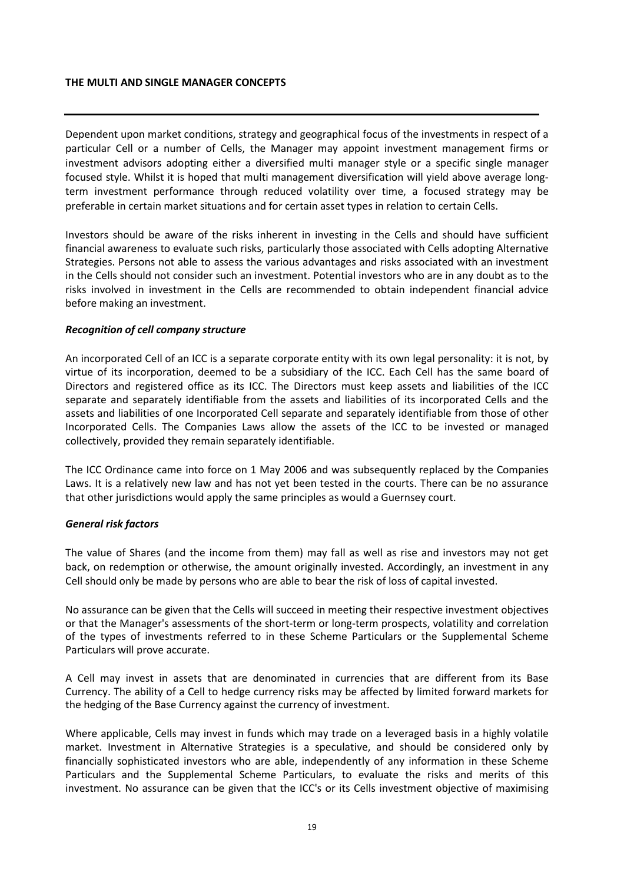#### **THE MULTI AND SINGLE MANAGER CONCEPTS**

Dependent upon market conditions, strategy and geographical focus of the investments in respect of a particular Cell or a number of Cells, the Manager may appoint investment management firms or investment advisors adopting either a diversified multi manager style or a specific single manager focused style. Whilst it is hoped that multi management diversification will yield above average longterm investment performance through reduced volatility over time, a focused strategy may be preferable in certain market situations and for certain asset types in relation to certain Cells.

Investors should be aware of the risks inherent in investing in the Cells and should have sufficient financial awareness to evaluate such risks, particularly those associated with Cells adopting Alternative Strategies. Persons not able to assess the various advantages and risks associated with an investment in the Cells should not consider such an investment. Potential investors who are in any doubt as to the risks involved in investment in the Cells are recommended to obtain independent financial advice before making an investment.

### *Recognition of cell company structure*

An incorporated Cell of an ICC is a separate corporate entity with its own legal personality: it is not, by virtue of its incorporation, deemed to be a subsidiary of the ICC. Each Cell has the same board of Directors and registered office as its ICC. The Directors must keep assets and liabilities of the ICC separate and separately identifiable from the assets and liabilities of its incorporated Cells and the assets and liabilities of one Incorporated Cell separate and separately identifiable from those of other Incorporated Cells. The Companies Laws allow the assets of the ICC to be invested or managed collectively, provided they remain separately identifiable.

The ICC Ordinance came into force on 1 May 2006 and was subsequently replaced by the Companies Laws. It is a relatively new law and has not yet been tested in the courts. There can be no assurance that other jurisdictions would apply the same principles as would a Guernsey court.

#### *General risk factors*

The value of Shares (and the income from them) may fall as well as rise and investors may not get back, on redemption or otherwise, the amount originally invested. Accordingly, an investment in any Cell should only be made by persons who are able to bear the risk of loss of capital invested.

No assurance can be given that the Cells will succeed in meeting their respective investment objectives or that the Manager's assessments of the short-term or long-term prospects, volatility and correlation of the types of investments referred to in these Scheme Particulars or the Supplemental Scheme Particulars will prove accurate.

A Cell may invest in assets that are denominated in currencies that are different from its Base Currency. The ability of a Cell to hedge currency risks may be affected by limited forward markets for the hedging of the Base Currency against the currency of investment.

Where applicable, Cells may invest in funds which may trade on a leveraged basis in a highly volatile market. Investment in Alternative Strategies is a speculative, and should be considered only by financially sophisticated investors who are able, independently of any information in these Scheme Particulars and the Supplemental Scheme Particulars, to evaluate the risks and merits of this investment. No assurance can be given that the ICC's or its Cells investment objective of maximising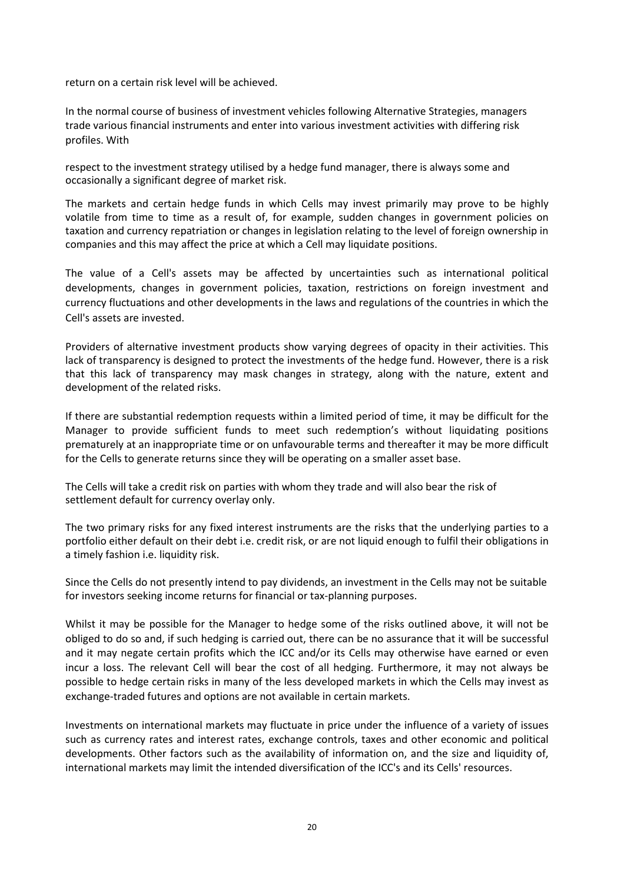return on a certain risk level will be achieved.

In the normal course of business of investment vehicles following Alternative Strategies, managers trade various financial instruments and enter into various investment activities with differing risk profiles. With

respect to the investment strategy utilised by a hedge fund manager, there is always some and occasionally a significant degree of market risk.

The markets and certain hedge funds in which Cells may invest primarily may prove to be highly volatile from time to time as a result of, for example, sudden changes in government policies on taxation and currency repatriation or changes in legislation relating to the level of foreign ownership in companies and this may affect the price at which a Cell may liquidate positions.

The value of a Cell's assets may be affected by uncertainties such as international political developments, changes in government policies, taxation, restrictions on foreign investment and currency fluctuations and other developments in the laws and regulations of the countries in which the Cell's assets are invested.

Providers of alternative investment products show varying degrees of opacity in their activities. This lack of transparency is designed to protect the investments of the hedge fund. However, there is a risk that this lack of transparency may mask changes in strategy, along with the nature, extent and development of the related risks.

If there are substantial redemption requests within a limited period of time, it may be difficult for the Manager to provide sufficient funds to meet such redemption's without liquidating positions prematurely at an inappropriate time or on unfavourable terms and thereafter it may be more difficult for the Cells to generate returns since they will be operating on a smaller asset base.

The Cells will take a credit risk on parties with whom they trade and will also bear the risk of settlement default for currency overlay only.

The two primary risks for any fixed interest instruments are the risks that the underlying parties to a portfolio either default on their debt i.e. credit risk, or are not liquid enough to fulfil their obligations in a timely fashion i.e. liquidity risk.

Since the Cells do not presently intend to pay dividends, an investment in the Cells may not be suitable for investors seeking income returns for financial or tax-planning purposes.

Whilst it may be possible for the Manager to hedge some of the risks outlined above, it will not be obliged to do so and, if such hedging is carried out, there can be no assurance that it will be successful and it may negate certain profits which the ICC and/or its Cells may otherwise have earned or even incur a loss. The relevant Cell will bear the cost of all hedging. Furthermore, it may not always be possible to hedge certain risks in many of the less developed markets in which the Cells may invest as exchange-traded futures and options are not available in certain markets.

Investments on international markets may fluctuate in price under the influence of a variety of issues such as currency rates and interest rates, exchange controls, taxes and other economic and political developments. Other factors such as the availability of information on, and the size and liquidity of, international markets may limit the intended diversification of the ICC's and its Cells' resources.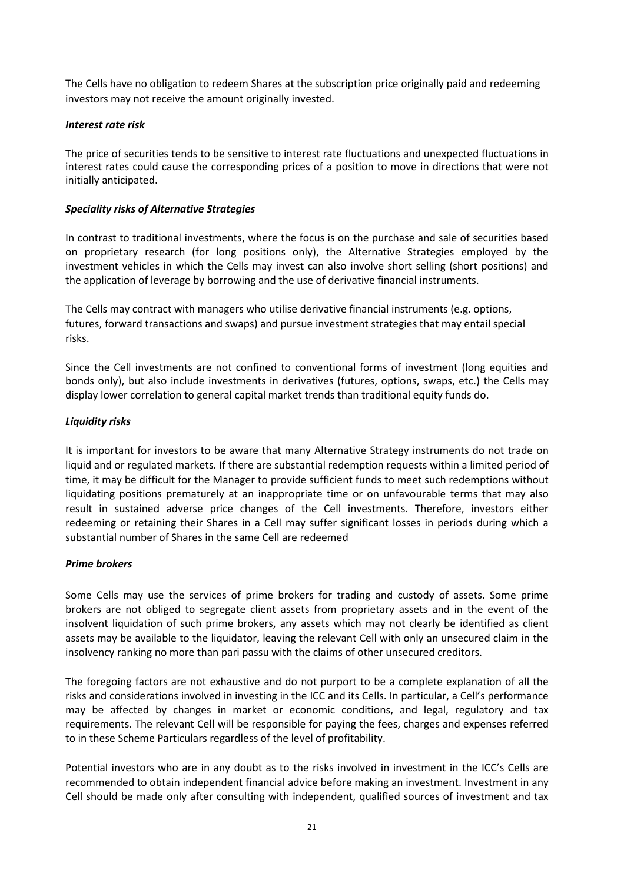The Cells have no obligation to redeem Shares at the subscription price originally paid and redeeming investors may not receive the amount originally invested.

## *Interest rate risk*

The price of securities tends to be sensitive to interest rate fluctuations and unexpected fluctuations in interest rates could cause the corresponding prices of a position to move in directions that were not initially anticipated.

## *Speciality risks of Alternative Strategies*

In contrast to traditional investments, where the focus is on the purchase and sale of securities based on proprietary research (for long positions only), the Alternative Strategies employed by the investment vehicles in which the Cells may invest can also involve short selling (short positions) and the application of leverage by borrowing and the use of derivative financial instruments.

The Cells may contract with managers who utilise derivative financial instruments (e.g. options, futures, forward transactions and swaps) and pursue investment strategies that may entail special risks.

Since the Cell investments are not confined to conventional forms of investment (long equities and bonds only), but also include investments in derivatives (futures, options, swaps, etc.) the Cells may display lower correlation to general capital market trends than traditional equity funds do.

## *Liquidity risks*

It is important for investors to be aware that many Alternative Strategy instruments do not trade on liquid and or regulated markets. If there are substantial redemption requests within a limited period of time, it may be difficult for the Manager to provide sufficient funds to meet such redemptions without liquidating positions prematurely at an inappropriate time or on unfavourable terms that may also result in sustained adverse price changes of the Cell investments. Therefore, investors either redeeming or retaining their Shares in a Cell may suffer significant losses in periods during which a substantial number of Shares in the same Cell are redeemed

## *Prime brokers*

Some Cells may use the services of prime brokers for trading and custody of assets. Some prime brokers are not obliged to segregate client assets from proprietary assets and in the event of the insolvent liquidation of such prime brokers, any assets which may not clearly be identified as client assets may be available to the liquidator, leaving the relevant Cell with only an unsecured claim in the insolvency ranking no more than pari passu with the claims of other unsecured creditors.

The foregoing factors are not exhaustive and do not purport to be a complete explanation of all the risks and considerations involved in investing in the ICC and its Cells. In particular, a Cell's performance may be affected by changes in market or economic conditions, and legal, regulatory and tax requirements. The relevant Cell will be responsible for paying the fees, charges and expenses referred to in these Scheme Particulars regardless of the level of profitability.

Potential investors who are in any doubt as to the risks involved in investment in the ICC's Cells are recommended to obtain independent financial advice before making an investment. Investment in any Cell should be made only after consulting with independent, qualified sources of investment and tax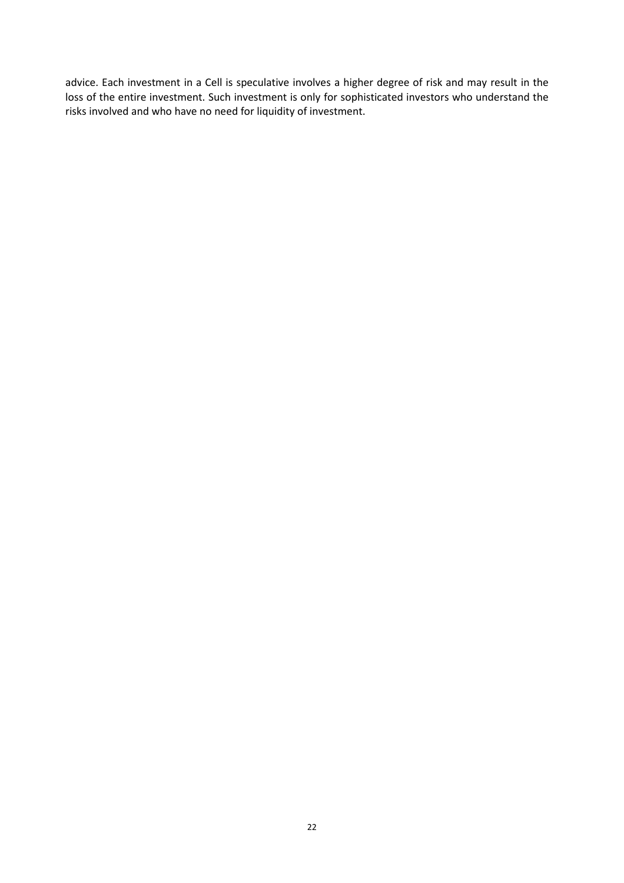advice. Each investment in a Cell is speculative involves a higher degree of risk and may result in the loss of the entire investment. Such investment is only for sophisticated investors who understand the risks involved and who have no need for liquidity of investment.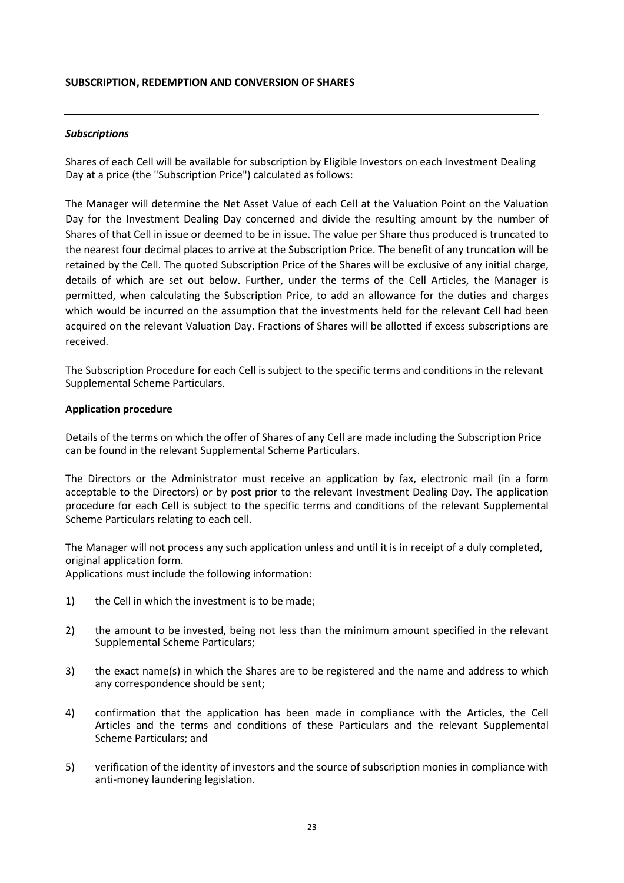#### **SUBSCRIPTION, REDEMPTION AND CONVERSION OF SHARES**

## *Subscriptions*

Shares of each Cell will be available for subscription by Eligible Investors on each Investment Dealing Day at a price (the "Subscription Price") calculated as follows:

The Manager will determine the Net Asset Value of each Cell at the Valuation Point on the Valuation Day for the Investment Dealing Day concerned and divide the resulting amount by the number of Shares of that Cell in issue or deemed to be in issue. The value per Share thus produced is truncated to the nearest four decimal places to arrive at the Subscription Price. The benefit of any truncation will be retained by the Cell. The quoted Subscription Price of the Shares will be exclusive of any initial charge, details of which are set out below. Further, under the terms of the Cell Articles, the Manager is permitted, when calculating the Subscription Price, to add an allowance for the duties and charges which would be incurred on the assumption that the investments held for the relevant Cell had been acquired on the relevant Valuation Day. Fractions of Shares will be allotted if excess subscriptions are received.

The Subscription Procedure for each Cell is subject to the specific terms and conditions in the relevant Supplemental Scheme Particulars.

#### **Application procedure**

Details of the terms on which the offer of Shares of any Cell are made including the Subscription Price can be found in the relevant Supplemental Scheme Particulars.

The Directors or the Administrator must receive an application by fax, electronic mail (in a form acceptable to the Directors) or by post prior to the relevant Investment Dealing Day. The application procedure for each Cell is subject to the specific terms and conditions of the relevant Supplemental Scheme Particulars relating to each cell.

The Manager will not process any such application unless and until it is in receipt of a duly completed, original application form.

Applications must include the following information:

- 1) the Cell in which the investment is to be made;
- 2) the amount to be invested, being not less than the minimum amount specified in the relevant Supplemental Scheme Particulars;
- 3) the exact name(s) in which the Shares are to be registered and the name and address to which any correspondence should be sent;
- 4) confirmation that the application has been made in compliance with the Articles, the Cell Articles and the terms and conditions of these Particulars and the relevant Supplemental Scheme Particulars; and
- 5) verification of the identity of investors and the source of subscription monies in compliance with anti-money laundering legislation.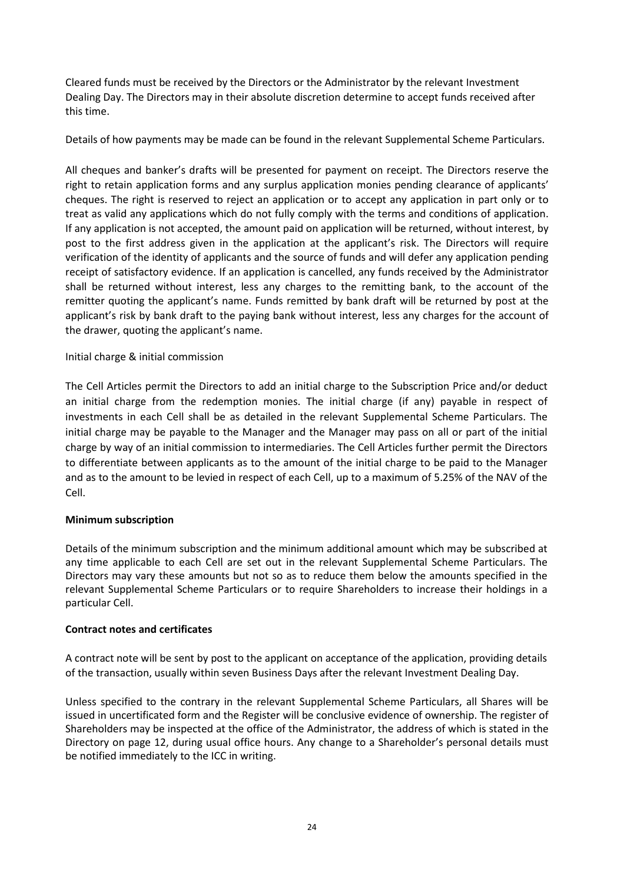Cleared funds must be received by the Directors or the Administrator by the relevant Investment Dealing Day. The Directors may in their absolute discretion determine to accept funds received after this time.

Details of how payments may be made can be found in the relevant Supplemental Scheme Particulars.

All cheques and banker's drafts will be presented for payment on receipt. The Directors reserve the right to retain application forms and any surplus application monies pending clearance of applicants' cheques. The right is reserved to reject an application or to accept any application in part only or to treat as valid any applications which do not fully comply with the terms and conditions of application. If any application is not accepted, the amount paid on application will be returned, without interest, by post to the first address given in the application at the applicant's risk. The Directors will require verification of the identity of applicants and the source of funds and will defer any application pending receipt of satisfactory evidence. If an application is cancelled, any funds received by the Administrator shall be returned without interest, less any charges to the remitting bank, to the account of the remitter quoting the applicant's name. Funds remitted by bank draft will be returned by post at the applicant's risk by bank draft to the paying bank without interest, less any charges for the account of the drawer, quoting the applicant's name.

## Initial charge & initial commission

The Cell Articles permit the Directors to add an initial charge to the Subscription Price and/or deduct an initial charge from the redemption monies. The initial charge (if any) payable in respect of investments in each Cell shall be as detailed in the relevant Supplemental Scheme Particulars. The initial charge may be payable to the Manager and the Manager may pass on all or part of the initial charge by way of an initial commission to intermediaries. The Cell Articles further permit the Directors to differentiate between applicants as to the amount of the initial charge to be paid to the Manager and as to the amount to be levied in respect of each Cell, up to a maximum of 5.25% of the NAV of the Cell.

## **Minimum subscription**

Details of the minimum subscription and the minimum additional amount which may be subscribed at any time applicable to each Cell are set out in the relevant Supplemental Scheme Particulars. The Directors may vary these amounts but not so as to reduce them below the amounts specified in the relevant Supplemental Scheme Particulars or to require Shareholders to increase their holdings in a particular Cell.

## **Contract notes and certificates**

A contract note will be sent by post to the applicant on acceptance of the application, providing details of the transaction, usually within seven Business Days after the relevant Investment Dealing Day.

Unless specified to the contrary in the relevant Supplemental Scheme Particulars, all Shares will be issued in uncertificated form and the Register will be conclusive evidence of ownership. The register of Shareholders may be inspected at the office of the Administrator, the address of which is stated in the Directory on page 12, during usual office hours. Any change to a Shareholder's personal details must be notified immediately to the ICC in writing.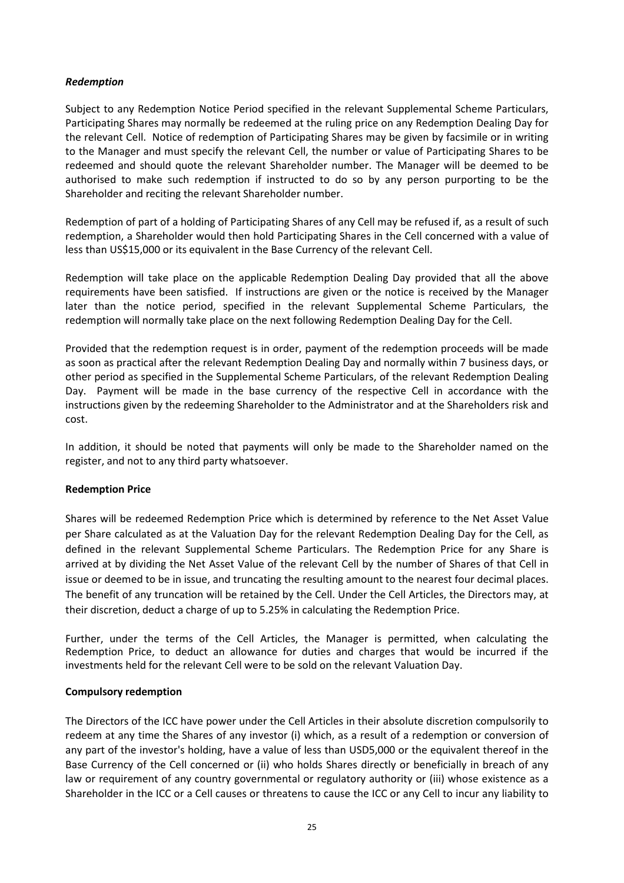## *Redemption*

Subject to any Redemption Notice Period specified in the relevant Supplemental Scheme Particulars, Participating Shares may normally be redeemed at the ruling price on any Redemption Dealing Day for the relevant Cell. Notice of redemption of Participating Shares may be given by facsimile or in writing to the Manager and must specify the relevant Cell, the number or value of Participating Shares to be redeemed and should quote the relevant Shareholder number. The Manager will be deemed to be authorised to make such redemption if instructed to do so by any person purporting to be the Shareholder and reciting the relevant Shareholder number.

Redemption of part of a holding of Participating Shares of any Cell may be refused if, as a result of such redemption, a Shareholder would then hold Participating Shares in the Cell concerned with a value of less than US\$15,000 or its equivalent in the Base Currency of the relevant Cell.

Redemption will take place on the applicable Redemption Dealing Day provided that all the above requirements have been satisfied. If instructions are given or the notice is received by the Manager later than the notice period, specified in the relevant Supplemental Scheme Particulars, the redemption will normally take place on the next following Redemption Dealing Day for the Cell.

Provided that the redemption request is in order, payment of the redemption proceeds will be made as soon as practical after the relevant Redemption Dealing Day and normally within 7 business days, or other period as specified in the Supplemental Scheme Particulars, of the relevant Redemption Dealing Day. Payment will be made in the base currency of the respective Cell in accordance with the instructions given by the redeeming Shareholder to the Administrator and at the Shareholders risk and cost.

In addition, it should be noted that payments will only be made to the Shareholder named on the register, and not to any third party whatsoever.

## **Redemption Price**

Shares will be redeemed Redemption Price which is determined by reference to the Net Asset Value per Share calculated as at the Valuation Day for the relevant Redemption Dealing Day for the Cell, as defined in the relevant Supplemental Scheme Particulars. The Redemption Price for any Share is arrived at by dividing the Net Asset Value of the relevant Cell by the number of Shares of that Cell in issue or deemed to be in issue, and truncating the resulting amount to the nearest four decimal places. The benefit of any truncation will be retained by the Cell. Under the Cell Articles, the Directors may, at their discretion, deduct a charge of up to 5.25% in calculating the Redemption Price.

Further, under the terms of the Cell Articles, the Manager is permitted, when calculating the Redemption Price, to deduct an allowance for duties and charges that would be incurred if the investments held for the relevant Cell were to be sold on the relevant Valuation Day.

## **Compulsory redemption**

The Directors of the ICC have power under the Cell Articles in their absolute discretion compulsorily to redeem at any time the Shares of any investor (i) which, as a result of a redemption or conversion of any part of the investor's holding, have a value of less than USD5,000 or the equivalent thereof in the Base Currency of the Cell concerned or (ii) who holds Shares directly or beneficially in breach of any law or requirement of any country governmental or regulatory authority or (iii) whose existence as a Shareholder in the ICC or a Cell causes or threatens to cause the ICC or any Cell to incur any liability to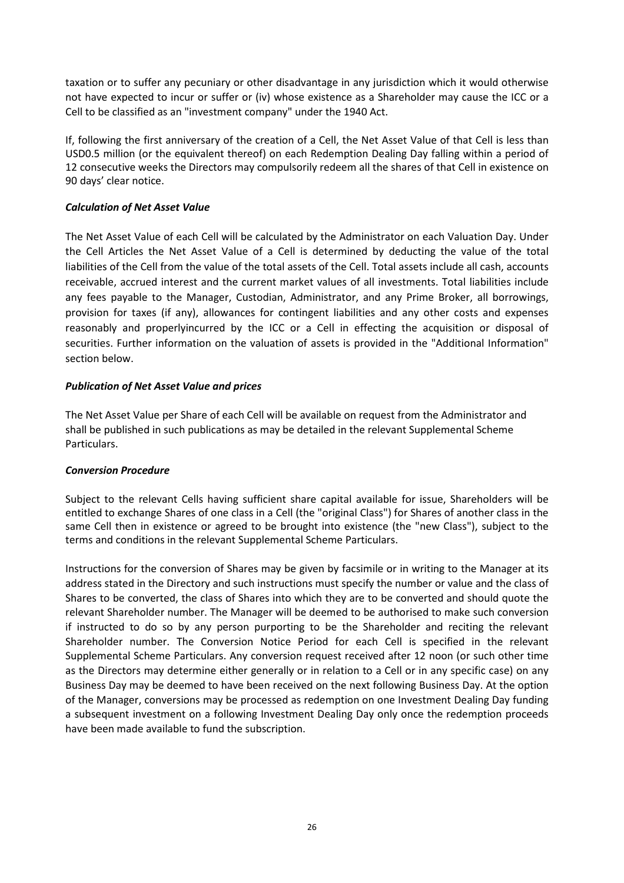taxation or to suffer any pecuniary or other disadvantage in any jurisdiction which it would otherwise not have expected to incur or suffer or (iv) whose existence as a Shareholder may cause the ICC or a Cell to be classified as an "investment company" under the 1940 Act.

If, following the first anniversary of the creation of a Cell, the Net Asset Value of that Cell is less than USD0.5 million (or the equivalent thereof) on each Redemption Dealing Day falling within a period of 12 consecutive weeks the Directors may compulsorily redeem all the shares of that Cell in existence on 90 days' clear notice.

## *Calculation of Net Asset Value*

The Net Asset Value of each Cell will be calculated by the Administrator on each Valuation Day. Under the Cell Articles the Net Asset Value of a Cell is determined by deducting the value of the total liabilities of the Cell from the value of the total assets of the Cell. Total assets include all cash, accounts receivable, accrued interest and the current market values of all investments. Total liabilities include any fees payable to the Manager, Custodian, Administrator, and any Prime Broker, all borrowings, provision for taxes (if any), allowances for contingent liabilities and any other costs and expenses reasonably and properlyincurred by the ICC or a Cell in effecting the acquisition or disposal of securities. Further information on the valuation of assets is provided in the "Additional Information" section below.

## *Publication of Net Asset Value and prices*

The Net Asset Value per Share of each Cell will be available on request from the Administrator and shall be published in such publications as may be detailed in the relevant Supplemental Scheme Particulars.

## *Conversion Procedure*

Subject to the relevant Cells having sufficient share capital available for issue, Shareholders will be entitled to exchange Shares of one class in a Cell (the "original Class") for Shares of another class in the same Cell then in existence or agreed to be brought into existence (the "new Class"), subject to the terms and conditions in the relevant Supplemental Scheme Particulars.

Instructions for the conversion of Shares may be given by facsimile or in writing to the Manager at its address stated in the Directory and such instructions must specify the number or value and the class of Shares to be converted, the class of Shares into which they are to be converted and should quote the relevant Shareholder number. The Manager will be deemed to be authorised to make such conversion if instructed to do so by any person purporting to be the Shareholder and reciting the relevant Shareholder number. The Conversion Notice Period for each Cell is specified in the relevant Supplemental Scheme Particulars. Any conversion request received after 12 noon (or such other time as the Directors may determine either generally or in relation to a Cell or in any specific case) on any Business Day may be deemed to have been received on the next following Business Day. At the option of the Manager, conversions may be processed as redemption on one Investment Dealing Day funding a subsequent investment on a following Investment Dealing Day only once the redemption proceeds have been made available to fund the subscription.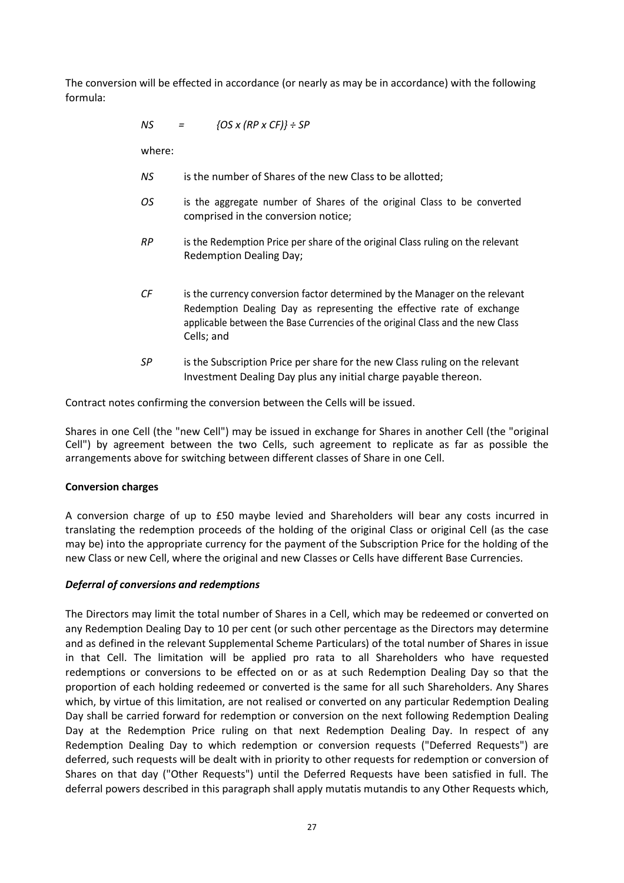The conversion will be effected in accordance (or nearly as may be in accordance) with the following formula:

*NS = {OS x (RP x CF)} ÷ SP*

where:

- *NS* is the number of Shares of the new Class to be allotted;
- *OS* is the aggregate number of Shares of the original Class to be converted comprised in the conversion notice;
- *RP* is the Redemption Price per share of the original Class ruling on the relevant Redemption Dealing Day;
- *CF* is the currency conversion factor determined by the Manager on the relevant Redemption Dealing Day as representing the effective rate of exchange applicable between the Base Currencies of the original Class and the new Class Cells; and
- *SP* is the Subscription Price per share for the new Class ruling on the relevant Investment Dealing Day plus any initial charge payable thereon.

Contract notes confirming the conversion between the Cells will be issued.

Shares in one Cell (the "new Cell") may be issued in exchange for Shares in another Cell (the "original Cell") by agreement between the two Cells, such agreement to replicate as far as possible the arrangements above for switching between different classes of Share in one Cell.

## **Conversion charges**

A conversion charge of up to £50 maybe levied and Shareholders will bear any costs incurred in translating the redemption proceeds of the holding of the original Class or original Cell (as the case may be) into the appropriate currency for the payment of the Subscription Price for the holding of the new Class or new Cell, where the original and new Classes or Cells have different Base Currencies.

## *Deferral of conversions and redemptions*

The Directors may limit the total number of Shares in a Cell, which may be redeemed or converted on any Redemption Dealing Day to 10 per cent (or such other percentage as the Directors may determine and as defined in the relevant Supplemental Scheme Particulars) of the total number of Shares in issue in that Cell. The limitation will be applied pro rata to all Shareholders who have requested redemptions or conversions to be effected on or as at such Redemption Dealing Day so that the proportion of each holding redeemed or converted is the same for all such Shareholders. Any Shares which, by virtue of this limitation, are not realised or converted on any particular Redemption Dealing Day shall be carried forward for redemption or conversion on the next following Redemption Dealing Day at the Redemption Price ruling on that next Redemption Dealing Day. In respect of any Redemption Dealing Day to which redemption or conversion requests ("Deferred Requests") are deferred, such requests will be dealt with in priority to other requests for redemption or conversion of Shares on that day ("Other Requests") until the Deferred Requests have been satisfied in full. The deferral powers described in this paragraph shall apply mutatis mutandis to any Other Requests which,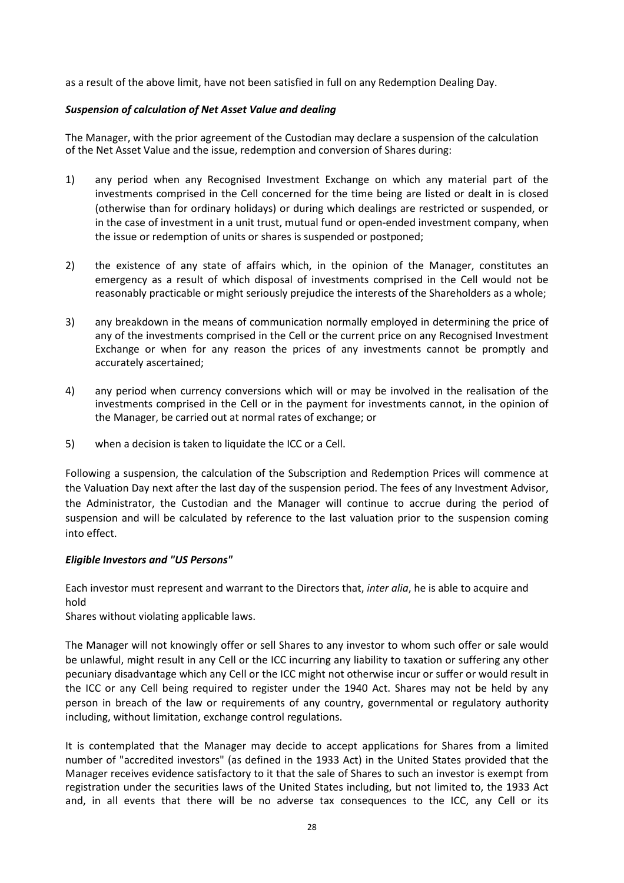as a result of the above limit, have not been satisfied in full on any Redemption Dealing Day.

## *Suspension of calculation of Net Asset Value and dealing*

The Manager, with the prior agreement of the Custodian may declare a suspension of the calculation of the Net Asset Value and the issue, redemption and conversion of Shares during:

- 1) any period when any Recognised Investment Exchange on which any material part of the investments comprised in the Cell concerned for the time being are listed or dealt in is closed (otherwise than for ordinary holidays) or during which dealings are restricted or suspended, or in the case of investment in a unit trust, mutual fund or open-ended investment company, when the issue or redemption of units or shares is suspended or postponed;
- 2) the existence of any state of affairs which, in the opinion of the Manager, constitutes an emergency as a result of which disposal of investments comprised in the Cell would not be reasonably practicable or might seriously prejudice the interests of the Shareholders as a whole;
- 3) any breakdown in the means of communication normally employed in determining the price of any of the investments comprised in the Cell or the current price on any Recognised Investment Exchange or when for any reason the prices of any investments cannot be promptly and accurately ascertained;
- 4) any period when currency conversions which will or may be involved in the realisation of the investments comprised in the Cell or in the payment for investments cannot, in the opinion of the Manager, be carried out at normal rates of exchange; or
- 5) when a decision is taken to liquidate the ICC or a Cell.

Following a suspension, the calculation of the Subscription and Redemption Prices will commence at the Valuation Day next after the last day of the suspension period. The fees of any Investment Advisor, the Administrator, the Custodian and the Manager will continue to accrue during the period of suspension and will be calculated by reference to the last valuation prior to the suspension coming into effect.

## *Eligible Investors and "US Persons"*

Each investor must represent and warrant to the Directors that, *inter alia*, he is able to acquire and hold

Shares without violating applicable laws.

The Manager will not knowingly offer or sell Shares to any investor to whom such offer or sale would be unlawful, might result in any Cell or the ICC incurring any liability to taxation or suffering any other pecuniary disadvantage which any Cell or the ICC might not otherwise incur or suffer or would result in the ICC or any Cell being required to register under the 1940 Act. Shares may not be held by any person in breach of the law or requirements of any country, governmental or regulatory authority including, without limitation, exchange control regulations.

It is contemplated that the Manager may decide to accept applications for Shares from a limited number of "accredited investors" (as defined in the 1933 Act) in the United States provided that the Manager receives evidence satisfactory to it that the sale of Shares to such an investor is exempt from registration under the securities laws of the United States including, but not limited to, the 1933 Act and, in all events that there will be no adverse tax consequences to the ICC, any Cell or its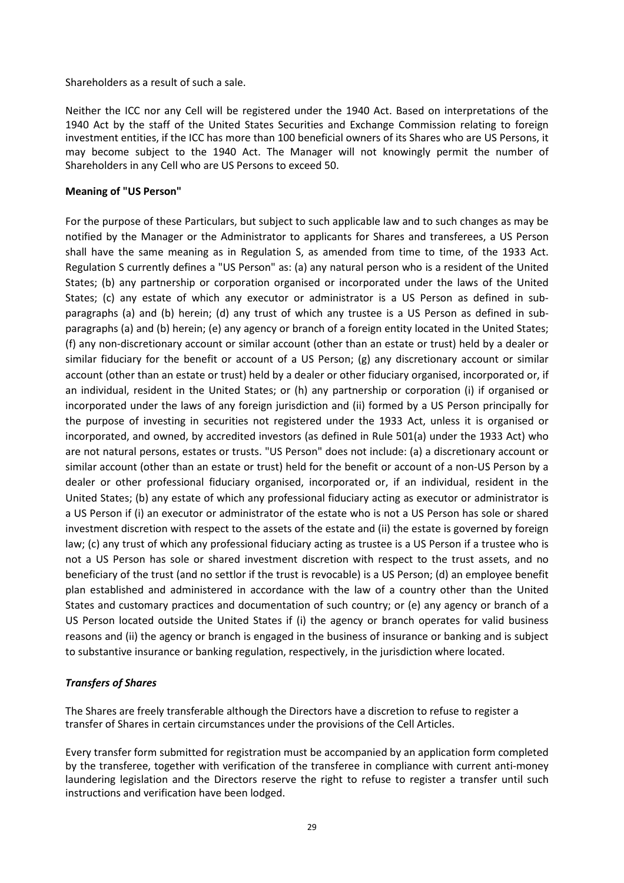Shareholders as a result of such a sale.

Neither the ICC nor any Cell will be registered under the 1940 Act. Based on interpretations of the 1940 Act by the staff of the United States Securities and Exchange Commission relating to foreign investment entities, if the ICC has more than 100 beneficial owners of its Shares who are US Persons, it may become subject to the 1940 Act. The Manager will not knowingly permit the number of Shareholders in any Cell who are US Persons to exceed 50.

## **Meaning of "US Person"**

For the purpose of these Particulars, but subject to such applicable law and to such changes as may be notified by the Manager or the Administrator to applicants for Shares and transferees, a US Person shall have the same meaning as in Regulation S, as amended from time to time, of the 1933 Act. Regulation S currently defines a "US Person" as: (a) any natural person who is a resident of the United States; (b) any partnership or corporation organised or incorporated under the laws of the United States; (c) any estate of which any executor or administrator is a US Person as defined in subparagraphs (a) and (b) herein; (d) any trust of which any trustee is a US Person as defined in subparagraphs (a) and (b) herein; (e) any agency or branch of a foreign entity located in the United States; (f) any non-discretionary account or similar account (other than an estate or trust) held by a dealer or similar fiduciary for the benefit or account of a US Person; (g) any discretionary account or similar account (other than an estate or trust) held by a dealer or other fiduciary organised, incorporated or, if an individual, resident in the United States; or (h) any partnership or corporation (i) if organised or incorporated under the laws of any foreign jurisdiction and (ii) formed by a US Person principally for the purpose of investing in securities not registered under the 1933 Act, unless it is organised or incorporated, and owned, by accredited investors (as defined in Rule 501(a) under the 1933 Act) who are not natural persons, estates or trusts. "US Person" does not include: (a) a discretionary account or similar account (other than an estate or trust) held for the benefit or account of a non-US Person by a dealer or other professional fiduciary organised, incorporated or, if an individual, resident in the United States; (b) any estate of which any professional fiduciary acting as executor or administrator is a US Person if (i) an executor or administrator of the estate who is not a US Person has sole or shared investment discretion with respect to the assets of the estate and (ii) the estate is governed by foreign law; (c) any trust of which any professional fiduciary acting as trustee is a US Person if a trustee who is not a US Person has sole or shared investment discretion with respect to the trust assets, and no beneficiary of the trust (and no settlor if the trust is revocable) is a US Person; (d) an employee benefit plan established and administered in accordance with the law of a country other than the United States and customary practices and documentation of such country; or (e) any agency or branch of a US Person located outside the United States if (i) the agency or branch operates for valid business reasons and (ii) the agency or branch is engaged in the business of insurance or banking and is subject to substantive insurance or banking regulation, respectively, in the jurisdiction where located.

## *Transfers of Shares*

The Shares are freely transferable although the Directors have a discretion to refuse to register a transfer of Shares in certain circumstances under the provisions of the Cell Articles.

Every transfer form submitted for registration must be accompanied by an application form completed by the transferee, together with verification of the transferee in compliance with current anti-money laundering legislation and the Directors reserve the right to refuse to register a transfer until such instructions and verification have been lodged.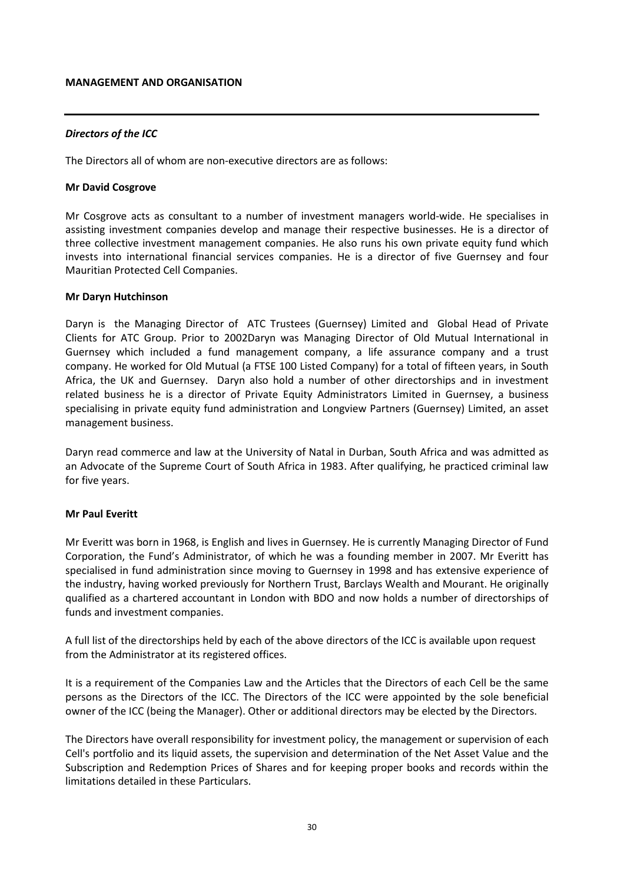#### **MANAGEMENT AND ORGANISATION**

## *Directors of the ICC*

The Directors all of whom are non-executive directors are as follows:

### **Mr David Cosgrove**

Mr Cosgrove acts as consultant to a number of investment managers world-wide. He specialises in assisting investment companies develop and manage their respective businesses. He is a director of three collective investment management companies. He also runs his own private equity fund which invests into international financial services companies. He is a director of five Guernsey and four Mauritian Protected Cell Companies.

## **Mr Daryn Hutchinson**

Daryn is the Managing Director of ATC Trustees (Guernsey) Limited and Global Head of Private Clients for ATC Group. Prior to 2002Daryn was Managing Director of Old Mutual International in Guernsey which included a fund management company, a life assurance company and a trust company. He worked for Old Mutual (a FTSE 100 Listed Company) for a total of fifteen years, in South Africa, the UK and Guernsey. Daryn also hold a number of other directorships and in investment related business he is a director of Private Equity Administrators Limited in Guernsey, a business specialising in private equity fund administration and Longview Partners (Guernsey) Limited, an asset management business.

Daryn read commerce and law at the University of Natal in Durban, South Africa and was admitted as an Advocate of the Supreme Court of South Africa in 1983. After qualifying, he practiced criminal law for five years.

## **Mr Paul Everitt**

Mr Everitt was born in 1968, is English and lives in Guernsey. He is currently Managing Director of Fund Corporation, the Fund's Administrator, of which he was a founding member in 2007. Mr Everitt has specialised in fund administration since moving to Guernsey in 1998 and has extensive experience of the industry, having worked previously for Northern Trust, Barclays Wealth and Mourant. He originally qualified as a chartered accountant in London with BDO and now holds a number of directorships of funds and investment companies.

A full list of the directorships held by each of the above directors of the ICC is available upon request from the Administrator at its registered offices.

It is a requirement of the Companies Law and the Articles that the Directors of each Cell be the same persons as the Directors of the ICC. The Directors of the ICC were appointed by the sole beneficial owner of the ICC (being the Manager). Other or additional directors may be elected by the Directors.

The Directors have overall responsibility for investment policy, the management or supervision of each Cell's portfolio and its liquid assets, the supervision and determination of the Net Asset Value and the Subscription and Redemption Prices of Shares and for keeping proper books and records within the limitations detailed in these Particulars.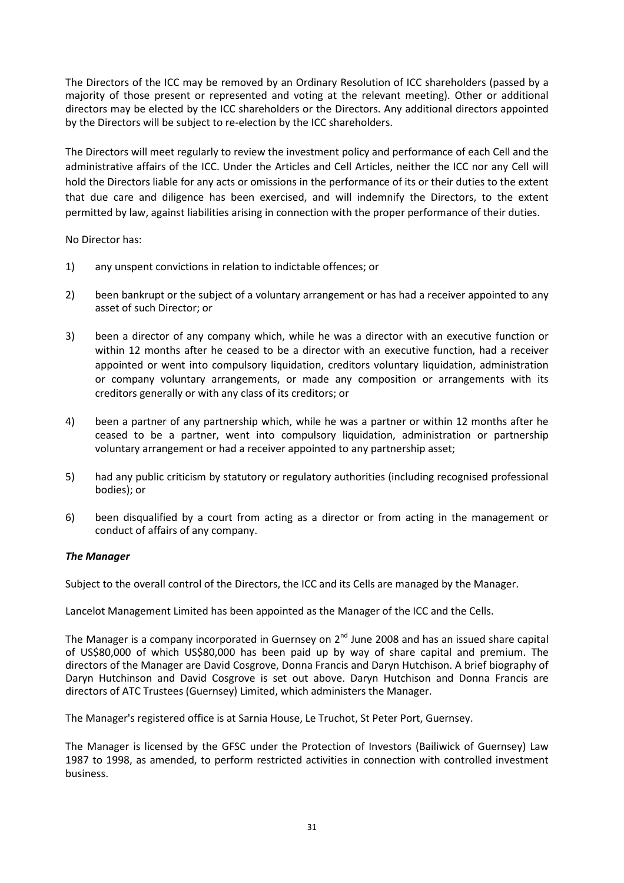The Directors of the ICC may be removed by an Ordinary Resolution of ICC shareholders (passed by a majority of those present or represented and voting at the relevant meeting). Other or additional directors may be elected by the ICC shareholders or the Directors. Any additional directors appointed by the Directors will be subject to re-election by the ICC shareholders.

The Directors will meet regularly to review the investment policy and performance of each Cell and the administrative affairs of the ICC. Under the Articles and Cell Articles, neither the ICC nor any Cell will hold the Directors liable for any acts or omissions in the performance of its or their duties to the extent that due care and diligence has been exercised, and will indemnify the Directors, to the extent permitted by law, against liabilities arising in connection with the proper performance of their duties.

No Director has:

- 1) any unspent convictions in relation to indictable offences; or
- 2) been bankrupt or the subject of a voluntary arrangement or has had a receiver appointed to any asset of such Director; or
- 3) been a director of any company which, while he was a director with an executive function or within 12 months after he ceased to be a director with an executive function, had a receiver appointed or went into compulsory liquidation, creditors voluntary liquidation, administration or company voluntary arrangements, or made any composition or arrangements with its creditors generally or with any class of its creditors; or
- 4) been a partner of any partnership which, while he was a partner or within 12 months after he ceased to be a partner, went into compulsory liquidation, administration or partnership voluntary arrangement or had a receiver appointed to any partnership asset;
- 5) had any public criticism by statutory or regulatory authorities (including recognised professional bodies); or
- 6) been disqualified by a court from acting as a director or from acting in the management or conduct of affairs of any company.

## *The Manager*

Subject to the overall control of the Directors, the ICC and its Cells are managed by the Manager.

Lancelot Management Limited has been appointed as the Manager of the ICC and the Cells.

The Manager is a company incorporated in Guernsey on 2<sup>nd</sup> June 2008 and has an issued share capital of US\$80,000 of which US\$80,000 has been paid up by way of share capital and premium. The directors of the Manager are David Cosgrove, Donna Francis and Daryn Hutchison. A brief biography of Daryn Hutchinson and David Cosgrove is set out above. Daryn Hutchison and Donna Francis are directors of ATC Trustees (Guernsey) Limited, which administers the Manager.

The Manager's registered office is at Sarnia House, Le Truchot, St Peter Port, Guernsey.

The Manager is licensed by the GFSC under the Protection of Investors (Bailiwick of Guernsey) Law 1987 to 1998, as amended, to perform restricted activities in connection with controlled investment business.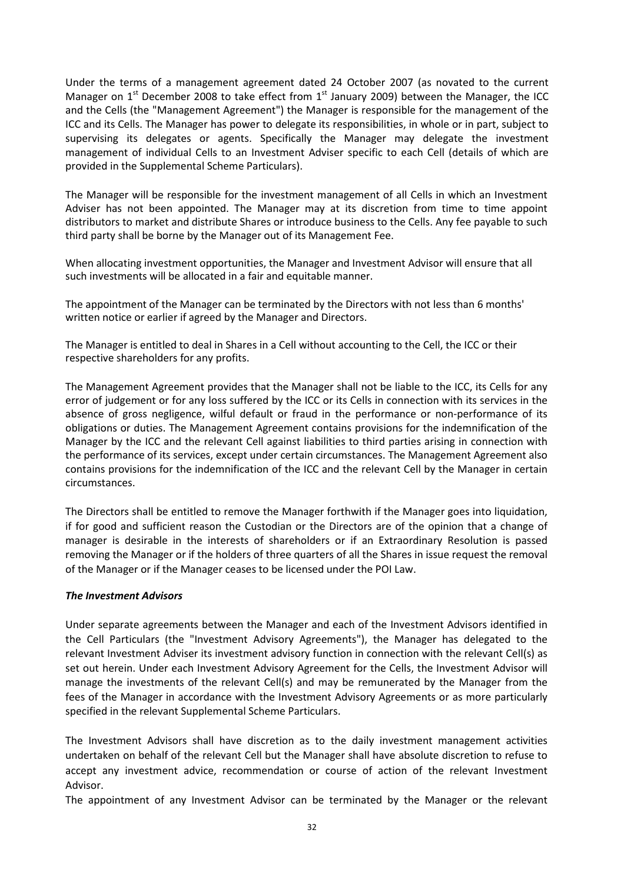Under the terms of a management agreement dated 24 October 2007 (as novated to the current Manager on  $1<sup>st</sup>$  December 2008 to take effect from  $1<sup>st</sup>$  January 2009) between the Manager, the ICC and the Cells (the "Management Agreement") the Manager is responsible for the management of the ICC and its Cells. The Manager has power to delegate its responsibilities, in whole or in part, subject to supervising its delegates or agents. Specifically the Manager may delegate the investment management of individual Cells to an Investment Adviser specific to each Cell (details of which are provided in the Supplemental Scheme Particulars).

The Manager will be responsible for the investment management of all Cells in which an Investment Adviser has not been appointed. The Manager may at its discretion from time to time appoint distributors to market and distribute Shares or introduce business to the Cells. Any fee payable to such third party shall be borne by the Manager out of its Management Fee.

When allocating investment opportunities, the Manager and Investment Advisor will ensure that all such investments will be allocated in a fair and equitable manner.

The appointment of the Manager can be terminated by the Directors with not less than 6 months' written notice or earlier if agreed by the Manager and Directors.

The Manager is entitled to deal in Shares in a Cell without accounting to the Cell, the ICC or their respective shareholders for any profits.

The Management Agreement provides that the Manager shall not be liable to the ICC, its Cells for any error of judgement or for any loss suffered by the ICC or its Cells in connection with its services in the absence of gross negligence, wilful default or fraud in the performance or non-performance of its obligations or duties. The Management Agreement contains provisions for the indemnification of the Manager by the ICC and the relevant Cell against liabilities to third parties arising in connection with the performance of its services, except under certain circumstances. The Management Agreement also contains provisions for the indemnification of the ICC and the relevant Cell by the Manager in certain circumstances.

The Directors shall be entitled to remove the Manager forthwith if the Manager goes into liquidation, if for good and sufficient reason the Custodian or the Directors are of the opinion that a change of manager is desirable in the interests of shareholders or if an Extraordinary Resolution is passed removing the Manager or if the holders of three quarters of all the Shares in issue request the removal of the Manager or if the Manager ceases to be licensed under the POI Law.

#### *The Investment Advisors*

Under separate agreements between the Manager and each of the Investment Advisors identified in the Cell Particulars (the "Investment Advisory Agreements"), the Manager has delegated to the relevant Investment Adviser its investment advisory function in connection with the relevant Cell(s) as set out herein. Under each Investment Advisory Agreement for the Cells, the Investment Advisor will manage the investments of the relevant Cell(s) and may be remunerated by the Manager from the fees of the Manager in accordance with the Investment Advisory Agreements or as more particularly specified in the relevant Supplemental Scheme Particulars.

The Investment Advisors shall have discretion as to the daily investment management activities undertaken on behalf of the relevant Cell but the Manager shall have absolute discretion to refuse to accept any investment advice, recommendation or course of action of the relevant Investment Advisor.

The appointment of any Investment Advisor can be terminated by the Manager or the relevant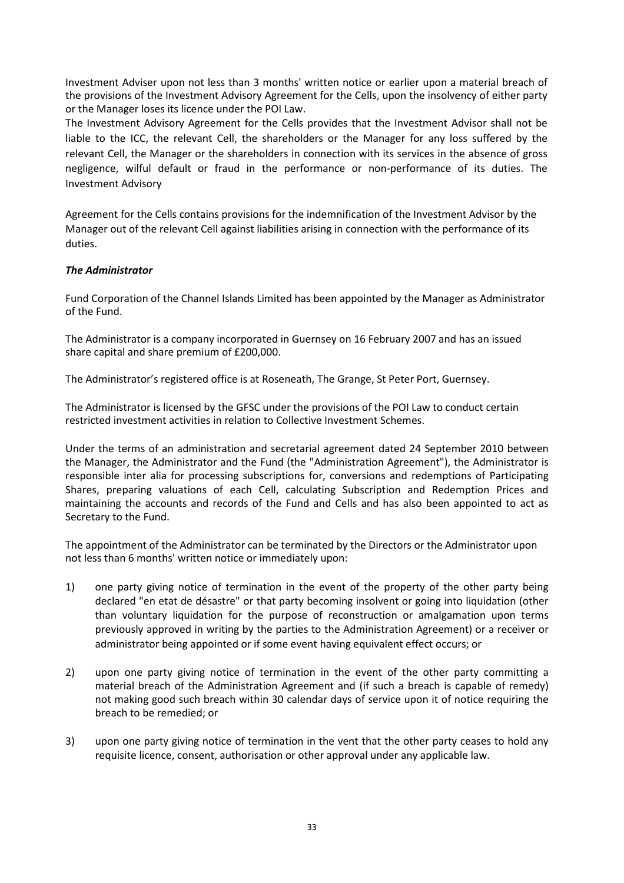Investment Adviser upon not less than 3 months' written notice or earlier upon a material breach of the provisions of the Investment Advisory Agreement for the Cells, upon the insolvency of either party or the Manager loses its licence under the POI Law.

The Investment Advisory Agreement for the Cells provides that the Investment Advisor shall not be liable to the ICC, the relevant Cell, the shareholders or the Manager for any loss suffered by the relevant Cell, the Manager or the shareholders in connection with its services in the absence of gross negligence, wilful default or fraud in the performance or non-performance of its duties. The Investment Advisory

Agreement for the Cells contains provisions for the indemnification of the Investment Advisor by the Manager out of the relevant Cell against liabilities arising in connection with the performance of its duties.

## *The Administrator*

Fund Corporation of the Channel Islands Limited has been appointed by the Manager as Administrator of the Fund.

The Administrator is a company incorporated in Guernsey on 16 February 2007 and has an issued share capital and share premium of £200,000.

The Administrator's registered office is at Roseneath, The Grange, St Peter Port, Guernsey.

The Administrator is licensed by the GFSC under the provisions of the POI Law to conduct certain restricted investment activities in relation to Collective Investment Schemes.

Under the terms of an administration and secretarial agreement dated 24 September 2010 between the Manager, the Administrator and the Fund (the "Administration Agreement"), the Administrator is responsible inter alia for processing subscriptions for, conversions and redemptions of Participating Shares, preparing valuations of each Cell, calculating Subscription and Redemption Prices and maintaining the accounts and records of the Fund and Cells and has also been appointed to act as Secretary to the Fund.

The appointment of the Administrator can be terminated by the Directors or the Administrator upon not less than 6 months' written notice or immediately upon:

- 1) one party giving notice of termination in the event of the property of the other party being declared "en etat de désastre" or that party becoming insolvent or going into liquidation (other than voluntary liquidation for the purpose of reconstruction or amalgamation upon terms previously approved in writing by the parties to the Administration Agreement) or a receiver or administrator being appointed or if some event having equivalent effect occurs; or
- 2) upon one party giving notice of termination in the event of the other party committing a material breach of the Administration Agreement and (if such a breach is capable of remedy) not making good such breach within 30 calendar days of service upon it of notice requiring the breach to be remedied; or
- 3) upon one party giving notice of termination in the vent that the other party ceases to hold any requisite licence, consent, authorisation or other approval under any applicable law.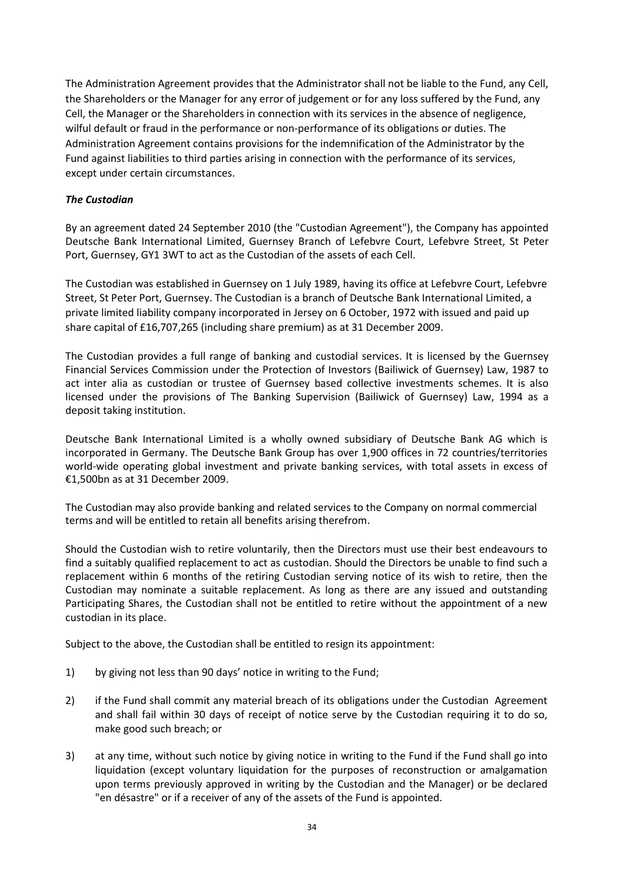The Administration Agreement provides that the Administrator shall not be liable to the Fund, any Cell, the Shareholders or the Manager for any error of judgement or for any loss suffered by the Fund, any Cell, the Manager or the Shareholders in connection with its services in the absence of negligence, wilful default or fraud in the performance or non-performance of its obligations or duties. The Administration Agreement contains provisions for the indemnification of the Administrator by the Fund against liabilities to third parties arising in connection with the performance of its services, except under certain circumstances.

## *The Custodian*

By an agreement dated 24 September 2010 (the "Custodian Agreement"), the Company has appointed Deutsche Bank International Limited, Guernsey Branch of Lefebvre Court, Lefebvre Street, St Peter Port, Guernsey, GY1 3WT to act as the Custodian of the assets of each Cell.

The Custodian was established in Guernsey on 1 July 1989, having its office at Lefebvre Court, Lefebvre Street, St Peter Port, Guernsey. The Custodian is a branch of Deutsche Bank International Limited, a private limited liability company incorporated in Jersey on 6 October, 1972 with issued and paid up share capital of £16,707,265 (including share premium) as at 31 December 2009.

The Custodian provides a full range of banking and custodial services. It is licensed by the Guernsey Financial Services Commission under the Protection of Investors (Bailiwick of Guernsey) Law, 1987 to act inter alia as custodian or trustee of Guernsey based collective investments schemes. It is also licensed under the provisions of The Banking Supervision (Bailiwick of Guernsey) Law, 1994 as a deposit taking institution.

Deutsche Bank International Limited is a wholly owned subsidiary of Deutsche Bank AG which is incorporated in Germany. The Deutsche Bank Group has over 1,900 offices in 72 countries/territories world-wide operating global investment and private banking services, with total assets in excess of €1,500bn as at 31 December 2009.

The Custodian may also provide banking and related services to the Company on normal commercial terms and will be entitled to retain all benefits arising therefrom.

Should the Custodian wish to retire voluntarily, then the Directors must use their best endeavours to find a suitably qualified replacement to act as custodian. Should the Directors be unable to find such a replacement within 6 months of the retiring Custodian serving notice of its wish to retire, then the Custodian may nominate a suitable replacement. As long as there are any issued and outstanding Participating Shares, the Custodian shall not be entitled to retire without the appointment of a new custodian in its place.

Subject to the above, the Custodian shall be entitled to resign its appointment:

- 1) by giving not less than 90 days' notice in writing to the Fund;
- 2) if the Fund shall commit any material breach of its obligations under the Custodian Agreement and shall fail within 30 days of receipt of notice serve by the Custodian requiring it to do so, make good such breach; or
- 3) at any time, without such notice by giving notice in writing to the Fund if the Fund shall go into liquidation (except voluntary liquidation for the purposes of reconstruction or amalgamation upon terms previously approved in writing by the Custodian and the Manager) or be declared "en désastre" or if a receiver of any of the assets of the Fund is appointed.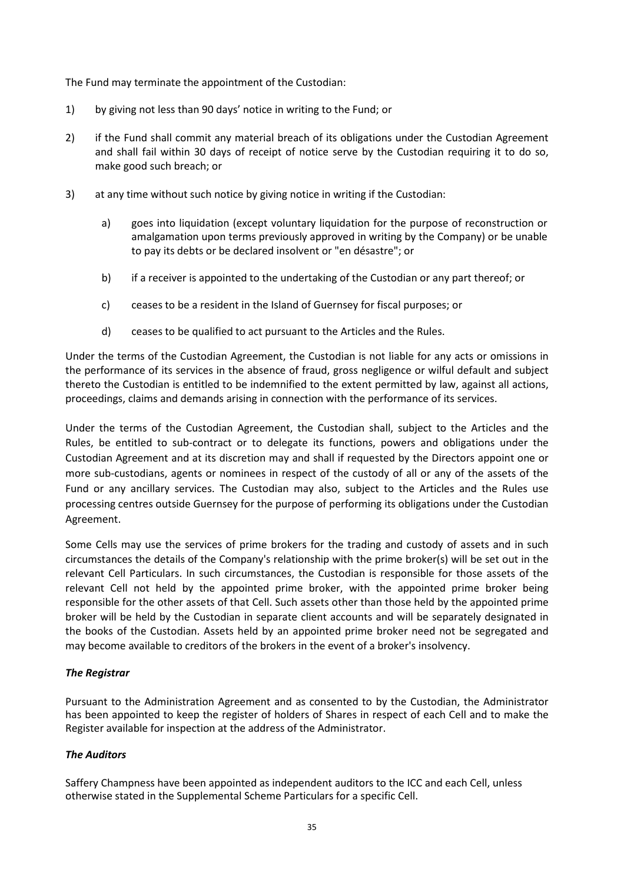The Fund may terminate the appointment of the Custodian:

- 1) by giving not less than 90 days' notice in writing to the Fund; or
- 2) if the Fund shall commit any material breach of its obligations under the Custodian Agreement and shall fail within 30 days of receipt of notice serve by the Custodian requiring it to do so, make good such breach; or
- 3) at any time without such notice by giving notice in writing if the Custodian:
	- a) goes into liquidation (except voluntary liquidation for the purpose of reconstruction or amalgamation upon terms previously approved in writing by the Company) or be unable to pay its debts or be declared insolvent or "en désastre"; or
	- b) if a receiver is appointed to the undertaking of the Custodian or any part thereof; or
	- c) ceases to be a resident in the Island of Guernsey for fiscal purposes; or
	- d) ceases to be qualified to act pursuant to the Articles and the Rules.

Under the terms of the Custodian Agreement, the Custodian is not liable for any acts or omissions in the performance of its services in the absence of fraud, gross negligence or wilful default and subject thereto the Custodian is entitled to be indemnified to the extent permitted by law, against all actions, proceedings, claims and demands arising in connection with the performance of its services.

Under the terms of the Custodian Agreement, the Custodian shall, subject to the Articles and the Rules, be entitled to sub-contract or to delegate its functions, powers and obligations under the Custodian Agreement and at its discretion may and shall if requested by the Directors appoint one or more sub-custodians, agents or nominees in respect of the custody of all or any of the assets of the Fund or any ancillary services. The Custodian may also, subject to the Articles and the Rules use processing centres outside Guernsey for the purpose of performing its obligations under the Custodian Agreement.

Some Cells may use the services of prime brokers for the trading and custody of assets and in such circumstances the details of the Company's relationship with the prime broker(s) will be set out in the relevant Cell Particulars. In such circumstances, the Custodian is responsible for those assets of the relevant Cell not held by the appointed prime broker, with the appointed prime broker being responsible for the other assets of that Cell. Such assets other than those held by the appointed prime broker will be held by the Custodian in separate client accounts and will be separately designated in the books of the Custodian. Assets held by an appointed prime broker need not be segregated and may become available to creditors of the brokers in the event of a broker's insolvency.

## *The Registrar*

Pursuant to the Administration Agreement and as consented to by the Custodian, the Administrator has been appointed to keep the register of holders of Shares in respect of each Cell and to make the Register available for inspection at the address of the Administrator.

## *The Auditors*

Saffery Champness have been appointed as independent auditors to the ICC and each Cell, unless otherwise stated in the Supplemental Scheme Particulars for a specific Cell.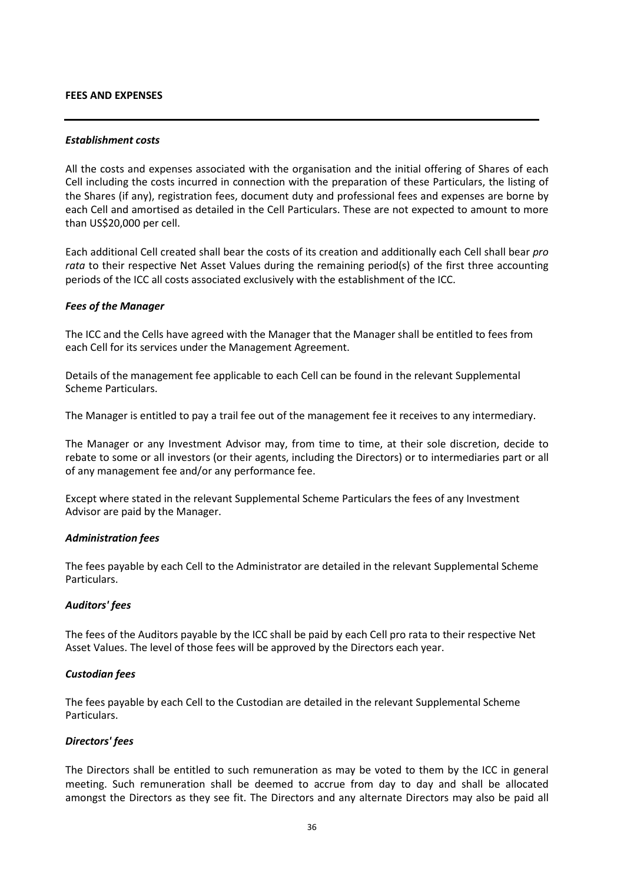#### **FEES AND EXPENSES**

#### *Establishment costs*

All the costs and expenses associated with the organisation and the initial offering of Shares of each Cell including the costs incurred in connection with the preparation of these Particulars, the listing of the Shares (if any), registration fees, document duty and professional fees and expenses are borne by each Cell and amortised as detailed in the Cell Particulars. These are not expected to amount to more than US\$20,000 per cell.

Each additional Cell created shall bear the costs of its creation and additionally each Cell shall bear *pro rata* to their respective Net Asset Values during the remaining period(s) of the first three accounting periods of the ICC all costs associated exclusively with the establishment of the ICC.

### *Fees of the Manager*

The ICC and the Cells have agreed with the Manager that the Manager shall be entitled to fees from each Cell for its services under the Management Agreement.

Details of the management fee applicable to each Cell can be found in the relevant Supplemental Scheme Particulars.

The Manager is entitled to pay a trail fee out of the management fee it receives to any intermediary.

The Manager or any Investment Advisor may, from time to time, at their sole discretion, decide to rebate to some or all investors (or their agents, including the Directors) or to intermediaries part or all of any management fee and/or any performance fee.

Except where stated in the relevant Supplemental Scheme Particulars the fees of any Investment Advisor are paid by the Manager.

#### *Administration fees*

The fees payable by each Cell to the Administrator are detailed in the relevant Supplemental Scheme Particulars.

## *Auditors' fees*

The fees of the Auditors payable by the ICC shall be paid by each Cell pro rata to their respective Net Asset Values. The level of those fees will be approved by the Directors each year.

#### *Custodian fees*

The fees payable by each Cell to the Custodian are detailed in the relevant Supplemental Scheme Particulars.

#### *Directors' fees*

The Directors shall be entitled to such remuneration as may be voted to them by the ICC in general meeting. Such remuneration shall be deemed to accrue from day to day and shall be allocated amongst the Directors as they see fit. The Directors and any alternate Directors may also be paid all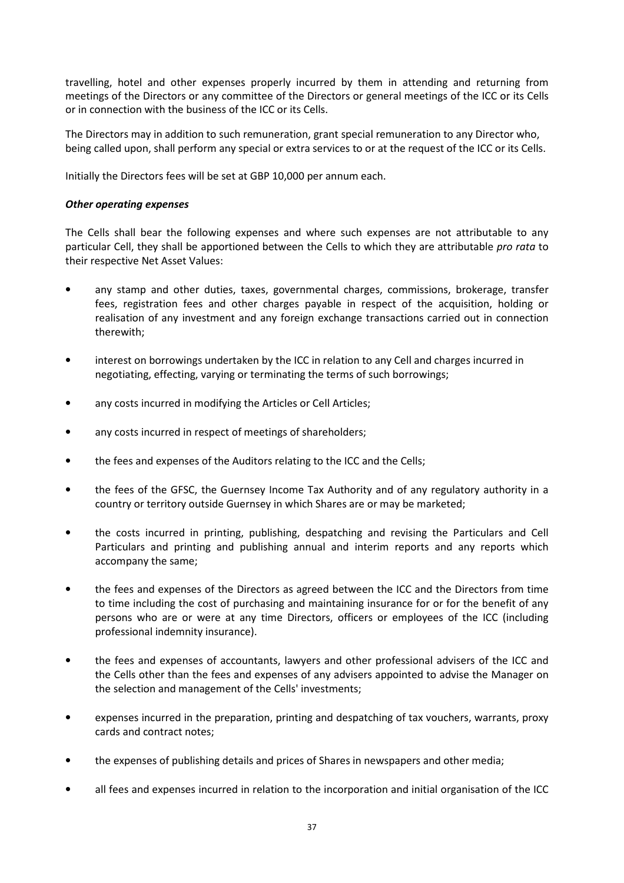travelling, hotel and other expenses properly incurred by them in attending and returning from meetings of the Directors or any committee of the Directors or general meetings of the ICC or its Cells or in connection with the business of the ICC or its Cells.

The Directors may in addition to such remuneration, grant special remuneration to any Director who, being called upon, shall perform any special or extra services to or at the request of the ICC or its Cells.

Initially the Directors fees will be set at GBP 10,000 per annum each.

## *Other operating expenses*

The Cells shall bear the following expenses and where such expenses are not attributable to any particular Cell, they shall be apportioned between the Cells to which they are attributable *pro rata* to their respective Net Asset Values:

- any stamp and other duties, taxes, governmental charges, commissions, brokerage, transfer fees, registration fees and other charges payable in respect of the acquisition, holding or realisation of any investment and any foreign exchange transactions carried out in connection therewith;
- interest on borrowings undertaken by the ICC in relation to any Cell and charges incurred in negotiating, effecting, varying or terminating the terms of such borrowings;
- any costs incurred in modifying the Articles or Cell Articles;
- any costs incurred in respect of meetings of shareholders;
- the fees and expenses of the Auditors relating to the ICC and the Cells;
- the fees of the GFSC, the Guernsey Income Tax Authority and of any regulatory authority in a country or territory outside Guernsey in which Shares are or may be marketed;
- the costs incurred in printing, publishing, despatching and revising the Particulars and Cell Particulars and printing and publishing annual and interim reports and any reports which accompany the same;
- the fees and expenses of the Directors as agreed between the ICC and the Directors from time to time including the cost of purchasing and maintaining insurance for or for the benefit of any persons who are or were at any time Directors, officers or employees of the ICC (including professional indemnity insurance).
- the fees and expenses of accountants, lawyers and other professional advisers of the ICC and the Cells other than the fees and expenses of any advisers appointed to advise the Manager on the selection and management of the Cells' investments;
- expenses incurred in the preparation, printing and despatching of tax vouchers, warrants, proxy cards and contract notes;
- the expenses of publishing details and prices of Shares in newspapers and other media;
- all fees and expenses incurred in relation to the incorporation and initial organisation of the ICC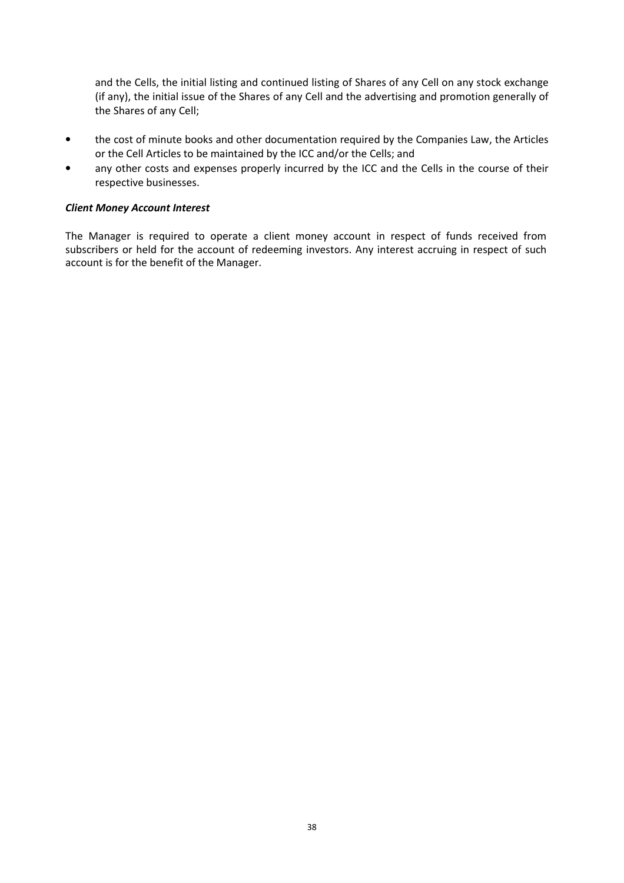and the Cells, the initial listing and continued listing of Shares of any Cell on any stock exchange (if any), the initial issue of the Shares of any Cell and the advertising and promotion generally of the Shares of any Cell;

- the cost of minute books and other documentation required by the Companies Law, the Articles or the Cell Articles to be maintained by the ICC and/or the Cells; and
- any other costs and expenses properly incurred by the ICC and the Cells in the course of their respective businesses.

## *Client Money Account Interest*

The Manager is required to operate a client money account in respect of funds received from subscribers or held for the account of redeeming investors. Any interest accruing in respect of such account is for the benefit of the Manager.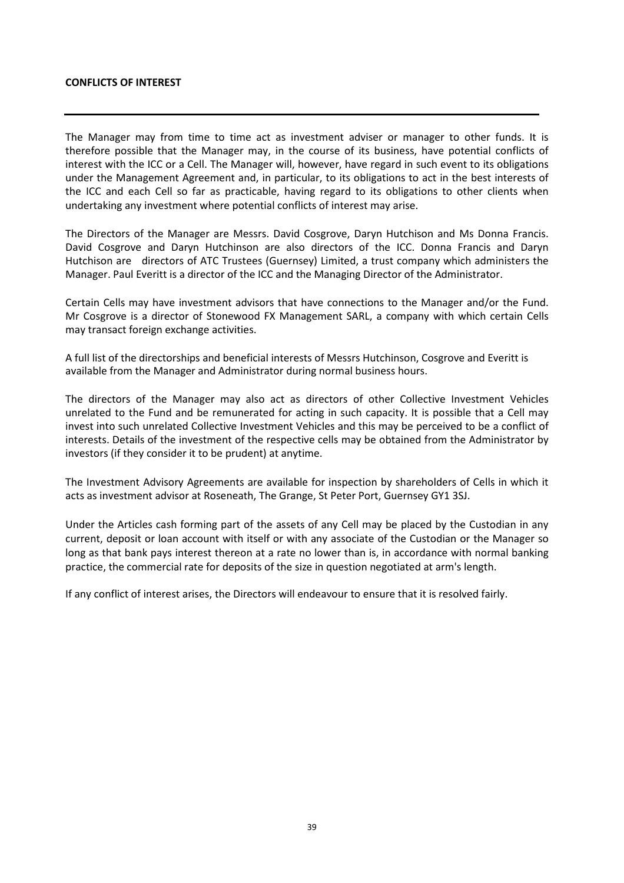#### **CONFLICTS OF INTEREST**

The Manager may from time to time act as investment adviser or manager to other funds. It is therefore possible that the Manager may, in the course of its business, have potential conflicts of interest with the ICC or a Cell. The Manager will, however, have regard in such event to its obligations under the Management Agreement and, in particular, to its obligations to act in the best interests of the ICC and each Cell so far as practicable, having regard to its obligations to other clients when undertaking any investment where potential conflicts of interest may arise.

The Directors of the Manager are Messrs. David Cosgrove, Daryn Hutchison and Ms Donna Francis. David Cosgrove and Daryn Hutchinson are also directors of the ICC. Donna Francis and Daryn Hutchison are directors of ATC Trustees (Guernsey) Limited, a trust company which administers the Manager. Paul Everitt is a director of the ICC and the Managing Director of the Administrator.

Certain Cells may have investment advisors that have connections to the Manager and/or the Fund. Mr Cosgrove is a director of Stonewood FX Management SARL, a company with which certain Cells may transact foreign exchange activities.

A full list of the directorships and beneficial interests of Messrs Hutchinson, Cosgrove and Everitt is available from the Manager and Administrator during normal business hours.

The directors of the Manager may also act as directors of other Collective Investment Vehicles unrelated to the Fund and be remunerated for acting in such capacity. It is possible that a Cell may invest into such unrelated Collective Investment Vehicles and this may be perceived to be a conflict of interests. Details of the investment of the respective cells may be obtained from the Administrator by investors (if they consider it to be prudent) at anytime.

The Investment Advisory Agreements are available for inspection by shareholders of Cells in which it acts as investment advisor at Roseneath, The Grange, St Peter Port, Guernsey GY1 3SJ.

Under the Articles cash forming part of the assets of any Cell may be placed by the Custodian in any current, deposit or loan account with itself or with any associate of the Custodian or the Manager so long as that bank pays interest thereon at a rate no lower than is, in accordance with normal banking practice, the commercial rate for deposits of the size in question negotiated at arm's length.

If any conflict of interest arises, the Directors will endeavour to ensure that it is resolved fairly.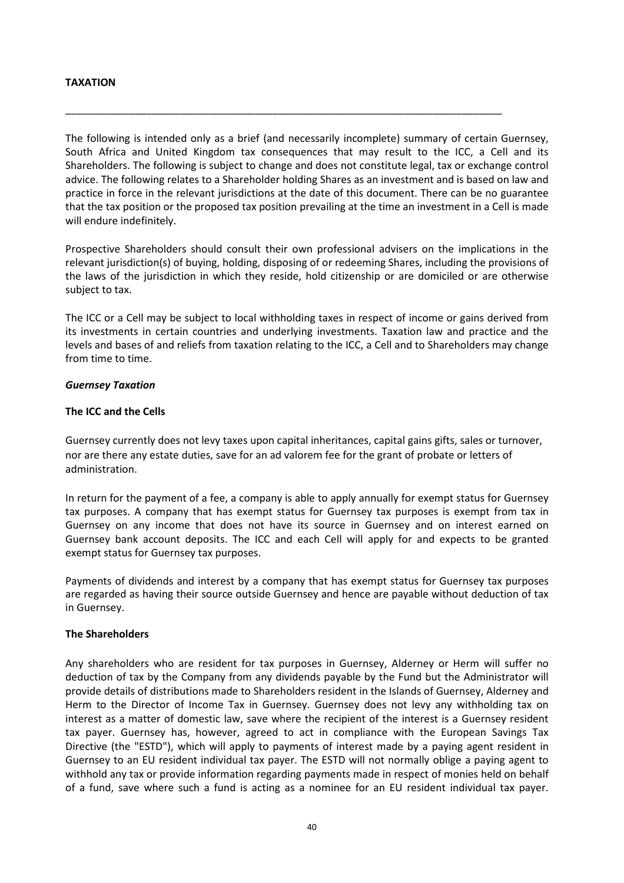## **TAXATION**

The following is intended only as a brief (and necessarily incomplete) summary of certain Guernsey, South Africa and United Kingdom tax consequences that may result to the ICC, a Cell and its Shareholders. The following is subject to change and does not constitute legal, tax or exchange control advice. The following relates to a Shareholder holding Shares as an investment and is based on law and practice in force in the relevant jurisdictions at the date of this document. There can be no guarantee that the tax position or the proposed tax position prevailing at the time an investment in a Cell is made will endure indefinitely.

\_\_\_\_\_\_\_\_\_\_\_\_\_\_\_\_\_\_\_\_\_\_\_\_\_\_\_\_\_\_\_\_\_\_\_\_\_\_\_\_\_\_\_\_\_\_\_\_\_\_\_\_\_\_\_\_\_\_\_\_\_\_\_\_\_\_\_\_\_\_\_\_\_\_\_\_

Prospective Shareholders should consult their own professional advisers on the implications in the relevant jurisdiction(s) of buying, holding, disposing of or redeeming Shares, including the provisions of the laws of the jurisdiction in which they reside, hold citizenship or are domiciled or are otherwise subject to tax.

The ICC or a Cell may be subject to local withholding taxes in respect of income or gains derived from its investments in certain countries and underlying investments. Taxation law and practice and the levels and bases of and reliefs from taxation relating to the ICC, a Cell and to Shareholders may change from time to time.

### *Guernsey Taxation*

### **The ICC and the Cells**

Guernsey currently does not levy taxes upon capital inheritances, capital gains gifts, sales or turnover, nor are there any estate duties, save for an ad valorem fee for the grant of probate or letters of administration.

In return for the payment of a fee, a company is able to apply annually for exempt status for Guernsey tax purposes. A company that has exempt status for Guernsey tax purposes is exempt from tax in Guernsey on any income that does not have its source in Guernsey and on interest earned on Guernsey bank account deposits. The ICC and each Cell will apply for and expects to be granted exempt status for Guernsey tax purposes.

Payments of dividends and interest by a company that has exempt status for Guernsey tax purposes are regarded as having their source outside Guernsey and hence are payable without deduction of tax in Guernsey.

#### **The Shareholders**

Any shareholders who are resident for tax purposes in Guernsey, Alderney or Herm will suffer no deduction of tax by the Company from any dividends payable by the Fund but the Administrator will provide details of distributions made to Shareholders resident in the Islands of Guernsey, Alderney and Herm to the Director of Income Tax in Guernsey. Guernsey does not levy any withholding tax on interest as a matter of domestic law, save where the recipient of the interest is a Guernsey resident tax payer. Guernsey has, however, agreed to act in compliance with the European Savings Tax Directive (the "ESTD"), which will apply to payments of interest made by a paying agent resident in Guernsey to an EU resident individual tax payer. The ESTD will not normally oblige a paying agent to withhold any tax or provide information regarding payments made in respect of monies held on behalf of a fund, save where such a fund is acting as a nominee for an EU resident individual tax payer.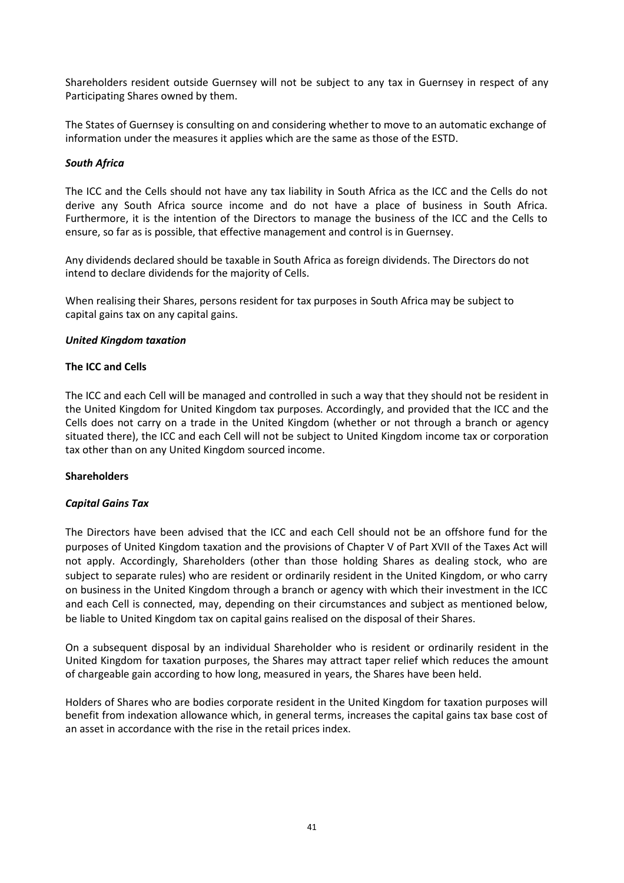Shareholders resident outside Guernsey will not be subject to any tax in Guernsey in respect of any Participating Shares owned by them.

The States of Guernsey is consulting on and considering whether to move to an automatic exchange of information under the measures it applies which are the same as those of the ESTD.

## *South Africa*

The ICC and the Cells should not have any tax liability in South Africa as the ICC and the Cells do not derive any South Africa source income and do not have a place of business in South Africa. Furthermore, it is the intention of the Directors to manage the business of the ICC and the Cells to ensure, so far as is possible, that effective management and control is in Guernsey.

Any dividends declared should be taxable in South Africa as foreign dividends. The Directors do not intend to declare dividends for the majority of Cells.

When realising their Shares, persons resident for tax purposes in South Africa may be subject to capital gains tax on any capital gains.

#### *United Kingdom taxation*

### **The ICC and Cells**

The ICC and each Cell will be managed and controlled in such a way that they should not be resident in the United Kingdom for United Kingdom tax purposes. Accordingly, and provided that the ICC and the Cells does not carry on a trade in the United Kingdom (whether or not through a branch or agency situated there), the ICC and each Cell will not be subject to United Kingdom income tax or corporation tax other than on any United Kingdom sourced income.

#### **Shareholders**

#### *Capital Gains Tax*

The Directors have been advised that the ICC and each Cell should not be an offshore fund for the purposes of United Kingdom taxation and the provisions of Chapter V of Part XVII of the Taxes Act will not apply. Accordingly, Shareholders (other than those holding Shares as dealing stock, who are subject to separate rules) who are resident or ordinarily resident in the United Kingdom, or who carry on business in the United Kingdom through a branch or agency with which their investment in the ICC and each Cell is connected, may, depending on their circumstances and subject as mentioned below, be liable to United Kingdom tax on capital gains realised on the disposal of their Shares.

On a subsequent disposal by an individual Shareholder who is resident or ordinarily resident in the United Kingdom for taxation purposes, the Shares may attract taper relief which reduces the amount of chargeable gain according to how long, measured in years, the Shares have been held.

Holders of Shares who are bodies corporate resident in the United Kingdom for taxation purposes will benefit from indexation allowance which, in general terms, increases the capital gains tax base cost of an asset in accordance with the rise in the retail prices index.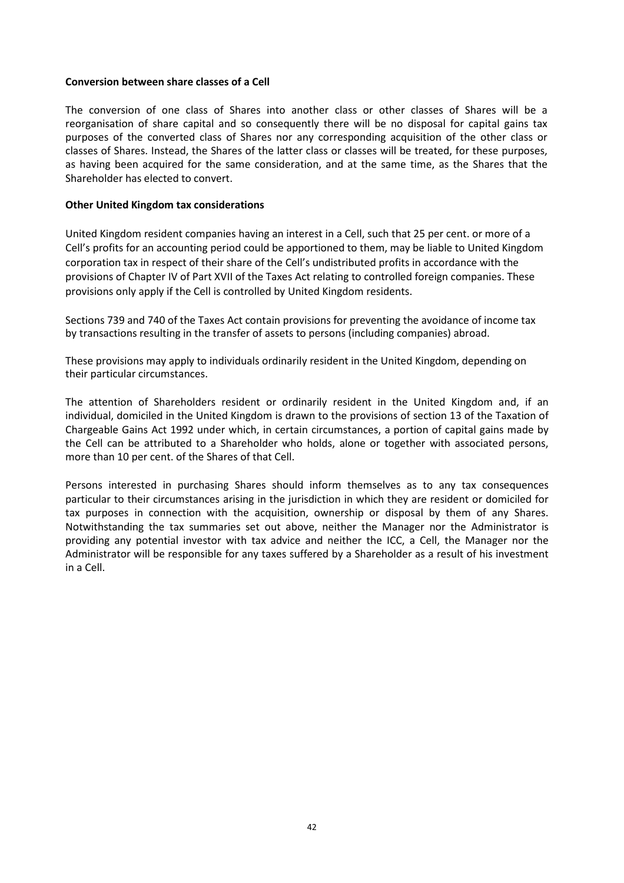## **Conversion between share classes of a Cell**

The conversion of one class of Shares into another class or other classes of Shares will be a reorganisation of share capital and so consequently there will be no disposal for capital gains tax purposes of the converted class of Shares nor any corresponding acquisition of the other class or classes of Shares. Instead, the Shares of the latter class or classes will be treated, for these purposes, as having been acquired for the same consideration, and at the same time, as the Shares that the Shareholder has elected to convert.

### **Other United Kingdom tax considerations**

United Kingdom resident companies having an interest in a Cell, such that 25 per cent. or more of a Cell's profits for an accounting period could be apportioned to them, may be liable to United Kingdom corporation tax in respect of their share of the Cell's undistributed profits in accordance with the provisions of Chapter IV of Part XVII of the Taxes Act relating to controlled foreign companies. These provisions only apply if the Cell is controlled by United Kingdom residents.

Sections 739 and 740 of the Taxes Act contain provisions for preventing the avoidance of income tax by transactions resulting in the transfer of assets to persons (including companies) abroad.

These provisions may apply to individuals ordinarily resident in the United Kingdom, depending on their particular circumstances.

The attention of Shareholders resident or ordinarily resident in the United Kingdom and, if an individual, domiciled in the United Kingdom is drawn to the provisions of section 13 of the Taxation of Chargeable Gains Act 1992 under which, in certain circumstances, a portion of capital gains made by the Cell can be attributed to a Shareholder who holds, alone or together with associated persons, more than 10 per cent. of the Shares of that Cell.

Persons interested in purchasing Shares should inform themselves as to any tax consequences particular to their circumstances arising in the jurisdiction in which they are resident or domiciled for tax purposes in connection with the acquisition, ownership or disposal by them of any Shares. Notwithstanding the tax summaries set out above, neither the Manager nor the Administrator is providing any potential investor with tax advice and neither the ICC, a Cell, the Manager nor the Administrator will be responsible for any taxes suffered by a Shareholder as a result of his investment in a Cell.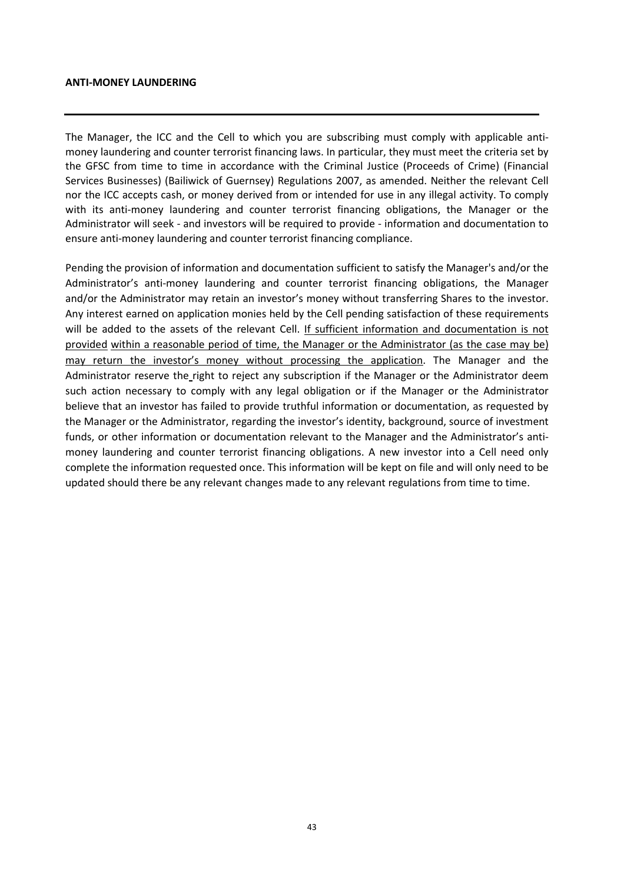#### **ANTI-MONEY LAUNDERING**

The Manager, the ICC and the Cell to which you are subscribing must comply with applicable antimoney laundering and counter terrorist financing laws. In particular, they must meet the criteria set by the GFSC from time to time in accordance with the Criminal Justice (Proceeds of Crime) (Financial Services Businesses) (Bailiwick of Guernsey) Regulations 2007, as amended. Neither the relevant Cell nor the ICC accepts cash, or money derived from or intended for use in any illegal activity. To comply with its anti-money laundering and counter terrorist financing obligations, the Manager or the Administrator will seek - and investors will be required to provide - information and documentation to ensure anti-money laundering and counter terrorist financing compliance.

Pending the provision of information and documentation sufficient to satisfy the Manager's and/or the Administrator's anti-money laundering and counter terrorist financing obligations, the Manager and/or the Administrator may retain an investor's money without transferring Shares to the investor. Any interest earned on application monies held by the Cell pending satisfaction of these requirements will be added to the assets of the relevant Cell. If sufficient information and documentation is not provided within a reasonable period of time, the Manager or the Administrator (as the case may be) may return the investor's money without processing the application. The Manager and the Administrator reserve the right to reject any subscription if the Manager or the Administrator deem such action necessary to comply with any legal obligation or if the Manager or the Administrator believe that an investor has failed to provide truthful information or documentation, as requested by the Manager or the Administrator, regarding the investor's identity, background, source of investment funds, or other information or documentation relevant to the Manager and the Administrator's antimoney laundering and counter terrorist financing obligations. A new investor into a Cell need only complete the information requested once. This information will be kept on file and will only need to be updated should there be any relevant changes made to any relevant regulations from time to time.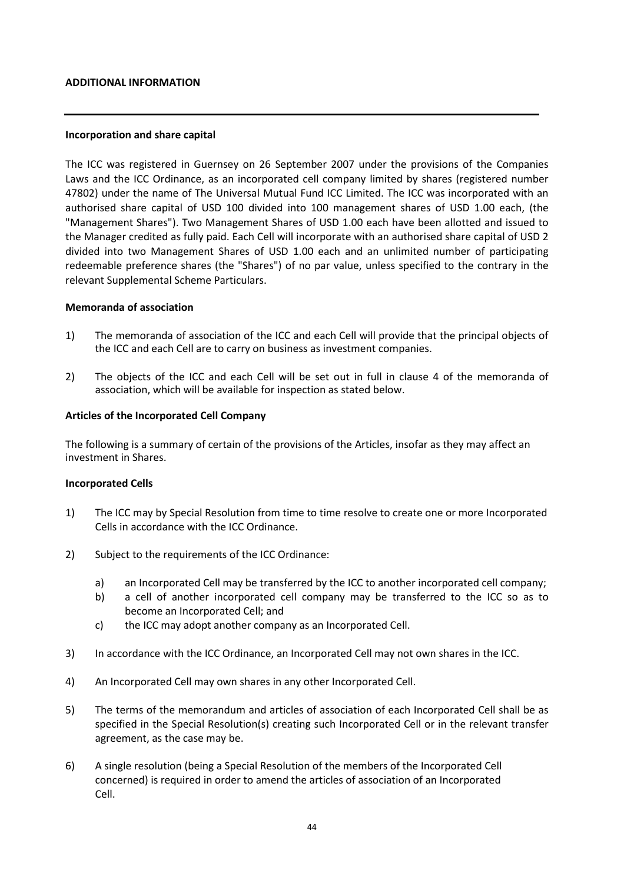#### **ADDITIONAL INFORMATION**

#### **Incorporation and share capital**

The ICC was registered in Guernsey on 26 September 2007 under the provisions of the Companies Laws and the ICC Ordinance, as an incorporated cell company limited by shares (registered number 47802) under the name of The Universal Mutual Fund ICC Limited. The ICC was incorporated with an authorised share capital of USD 100 divided into 100 management shares of USD 1.00 each, (the "Management Shares"). Two Management Shares of USD 1.00 each have been allotted and issued to the Manager credited as fully paid. Each Cell will incorporate with an authorised share capital of USD 2 divided into two Management Shares of USD 1.00 each and an unlimited number of participating redeemable preference shares (the "Shares") of no par value, unless specified to the contrary in the relevant Supplemental Scheme Particulars.

#### **Memoranda of association**

- 1) The memoranda of association of the ICC and each Cell will provide that the principal objects of the ICC and each Cell are to carry on business as investment companies.
- 2) The objects of the ICC and each Cell will be set out in full in clause 4 of the memoranda of association, which will be available for inspection as stated below.

#### **Articles of the Incorporated Cell Company**

The following is a summary of certain of the provisions of the Articles, insofar as they may affect an investment in Shares.

#### **Incorporated Cells**

- 1) The ICC may by Special Resolution from time to time resolve to create one or more Incorporated Cells in accordance with the ICC Ordinance.
- 2) Subject to the requirements of the ICC Ordinance:
	- a) an Incorporated Cell may be transferred by the ICC to another incorporated cell company;
	- b) a cell of another incorporated cell company may be transferred to the ICC so as to become an Incorporated Cell; and
	- c) the ICC may adopt another company as an Incorporated Cell.
- 3) In accordance with the ICC Ordinance, an Incorporated Cell may not own shares in the ICC.
- 4) An Incorporated Cell may own shares in any other Incorporated Cell.
- 5) The terms of the memorandum and articles of association of each Incorporated Cell shall be as specified in the Special Resolution(s) creating such Incorporated Cell or in the relevant transfer agreement, as the case may be.
- 6) A single resolution (being a Special Resolution of the members of the Incorporated Cell concerned) is required in order to amend the articles of association of an Incorporated Cell.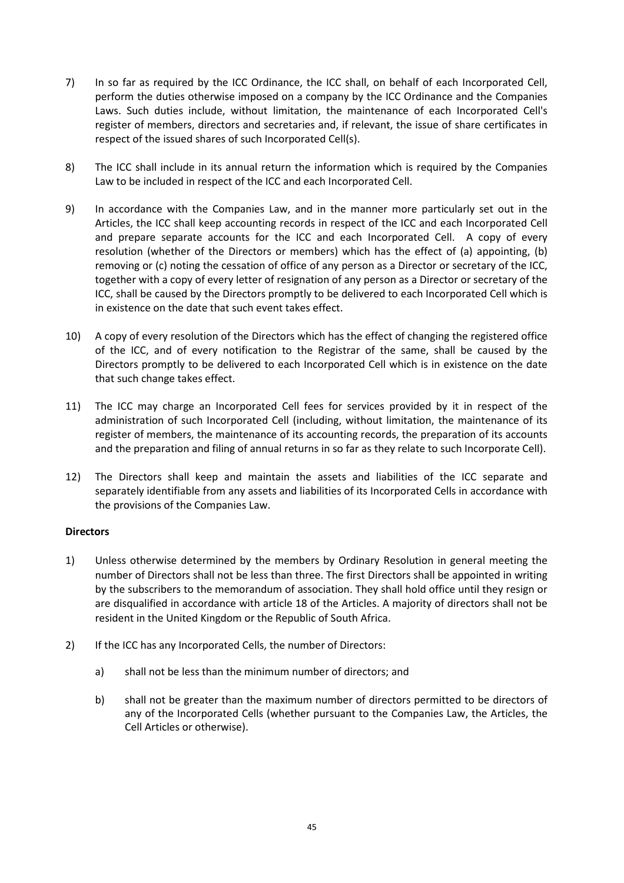- 7) In so far as required by the ICC Ordinance, the ICC shall, on behalf of each Incorporated Cell, perform the duties otherwise imposed on a company by the ICC Ordinance and the Companies Laws. Such duties include, without limitation, the maintenance of each Incorporated Cell's register of members, directors and secretaries and, if relevant, the issue of share certificates in respect of the issued shares of such Incorporated Cell(s).
- 8) The ICC shall include in its annual return the information which is required by the Companies Law to be included in respect of the ICC and each Incorporated Cell.
- 9) In accordance with the Companies Law, and in the manner more particularly set out in the Articles, the ICC shall keep accounting records in respect of the ICC and each Incorporated Cell and prepare separate accounts for the ICC and each Incorporated Cell. A copy of every resolution (whether of the Directors or members) which has the effect of (a) appointing, (b) removing or (c) noting the cessation of office of any person as a Director or secretary of the ICC, together with a copy of every letter of resignation of any person as a Director or secretary of the ICC, shall be caused by the Directors promptly to be delivered to each Incorporated Cell which is in existence on the date that such event takes effect.
- 10) A copy of every resolution of the Directors which has the effect of changing the registered office of the ICC, and of every notification to the Registrar of the same, shall be caused by the Directors promptly to be delivered to each Incorporated Cell which is in existence on the date that such change takes effect.
- 11) The ICC may charge an Incorporated Cell fees for services provided by it in respect of the administration of such Incorporated Cell (including, without limitation, the maintenance of its register of members, the maintenance of its accounting records, the preparation of its accounts and the preparation and filing of annual returns in so far as they relate to such Incorporate Cell).
- 12) The Directors shall keep and maintain the assets and liabilities of the ICC separate and separately identifiable from any assets and liabilities of its Incorporated Cells in accordance with the provisions of the Companies Law.

## **Directors**

- 1) Unless otherwise determined by the members by Ordinary Resolution in general meeting the number of Directors shall not be less than three. The first Directors shall be appointed in writing by the subscribers to the memorandum of association. They shall hold office until they resign or are disqualified in accordance with article 18 of the Articles. A majority of directors shall not be resident in the United Kingdom or the Republic of South Africa.
- 2) If the ICC has any Incorporated Cells, the number of Directors:
	- a) shall not be less than the minimum number of directors; and
	- b) shall not be greater than the maximum number of directors permitted to be directors of any of the Incorporated Cells (whether pursuant to the Companies Law, the Articles, the Cell Articles or otherwise).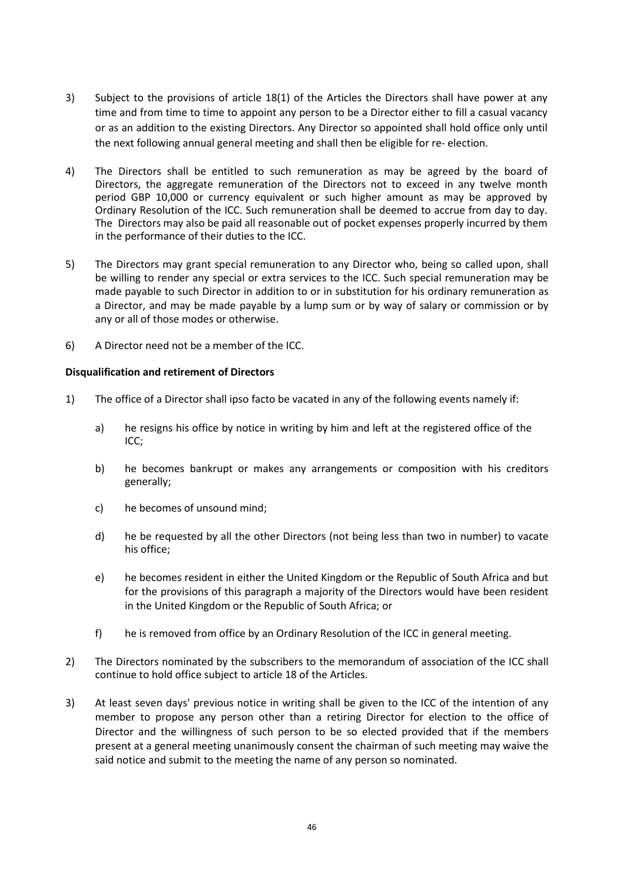- 3) Subject to the provisions of article 18(1) of the Articles the Directors shall have power at any time and from time to time to appoint any person to be a Director either to fill a casual vacancy or as an addition to the existing Directors. Any Director so appointed shall hold office only until the next following annual general meeting and shall then be eligible for re- election.
- 4) The Directors shall be entitled to such remuneration as may be agreed by the board of Directors, the aggregate remuneration of the Directors not to exceed in any twelve month period GBP 10,000 or currency equivalent or such higher amount as may be approved by Ordinary Resolution of the ICC. Such remuneration shall be deemed to accrue from day to day. The Directors may also be paid all reasonable out of pocket expenses properly incurred by them in the performance of their duties to the ICC.
- 5) The Directors may grant special remuneration to any Director who, being so called upon, shall be willing to render any special or extra services to the ICC. Such special remuneration may be made payable to such Director in addition to or in substitution for his ordinary remuneration as a Director, and may be made payable by a lump sum or by way of salary or commission or by any or all of those modes or otherwise.
- 6) A Director need not be a member of the ICC.

## **Disqualification and retirement of Directors**

- 1) The office of a Director shall ipso facto be vacated in any of the following events namely if:
	- a) he resigns his office by notice in writing by him and left at the registered office of the ICC;
	- b) he becomes bankrupt or makes any arrangements or composition with his creditors generally;
	- c) he becomes of unsound mind;
	- d) he be requested by all the other Directors (not being less than two in number) to vacate his office;
	- e) he becomes resident in either the United Kingdom or the Republic of South Africa and but for the provisions of this paragraph a majority of the Directors would have been resident in the United Kingdom or the Republic of South Africa; or
	- f) he is removed from office by an Ordinary Resolution of the ICC in general meeting.
- 2) The Directors nominated by the subscribers to the memorandum of association of the ICC shall continue to hold office subject to article 18 of the Articles.
- 3) At least seven days' previous notice in writing shall be given to the ICC of the intention of any member to propose any person other than a retiring Director for election to the office of Director and the willingness of such person to be so elected provided that if the members present at a general meeting unanimously consent the chairman of such meeting may waive the said notice and submit to the meeting the name of any person so nominated.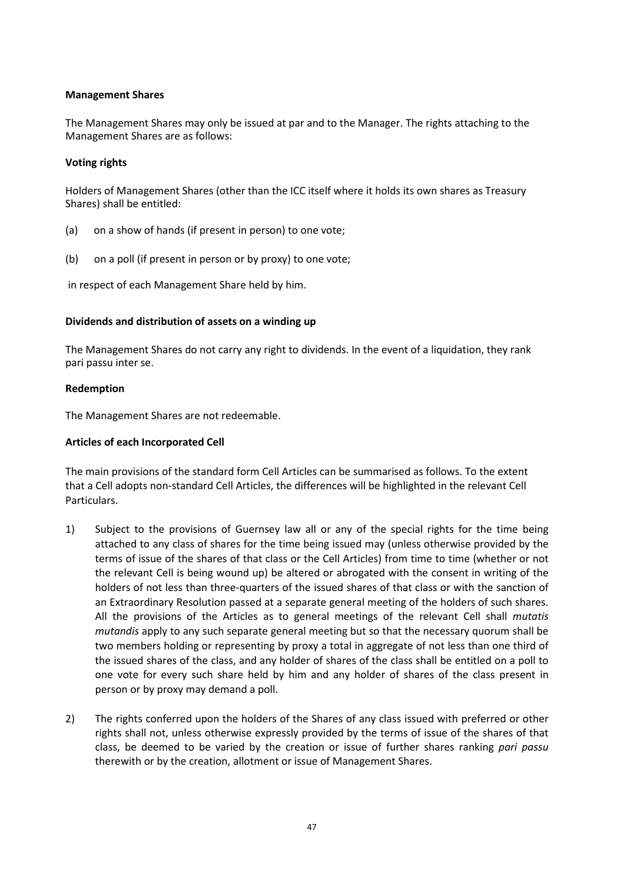## **Management Shares**

The Management Shares may only be issued at par and to the Manager. The rights attaching to the Management Shares are as follows:

## **Voting rights**

Holders of Management Shares (other than the ICC itself where it holds its own shares as Treasury Shares) shall be entitled:

- (a) on a show of hands (if present in person) to one vote;
- (b) on a poll (if present in person or by proxy) to one vote;

in respect of each Management Share held by him.

## **Dividends and distribution of assets on a winding up**

The Management Shares do not carry any right to dividends. In the event of a liquidation, they rank pari passu inter se.

## **Redemption**

The Management Shares are not redeemable.

## **Articles of each Incorporated Cell**

The main provisions of the standard form Cell Articles can be summarised as follows. To the extent that a Cell adopts non-standard Cell Articles, the differences will be highlighted in the relevant Cell Particulars.

- 1) Subject to the provisions of Guernsey law all or any of the special rights for the time being attached to any class of shares for the time being issued may (unless otherwise provided by the terms of issue of the shares of that class or the Cell Articles) from time to time (whether or not the relevant Cell is being wound up) be altered or abrogated with the consent in writing of the holders of not less than three-quarters of the issued shares of that class or with the sanction of an Extraordinary Resolution passed at a separate general meeting of the holders of such shares. All the provisions of the Articles as to general meetings of the relevant Cell shall *mutatis mutandis* apply to any such separate general meeting but so that the necessary quorum shall be two members holding or representing by proxy a total in aggregate of not less than one third of the issued shares of the class, and any holder of shares of the class shall be entitled on a poll to one vote for every such share held by him and any holder of shares of the class present in person or by proxy may demand a poll.
- 2) The rights conferred upon the holders of the Shares of any class issued with preferred or other rights shall not, unless otherwise expressly provided by the terms of issue of the shares of that class, be deemed to be varied by the creation or issue of further shares ranking *pari passu* therewith or by the creation, allotment or issue of Management Shares.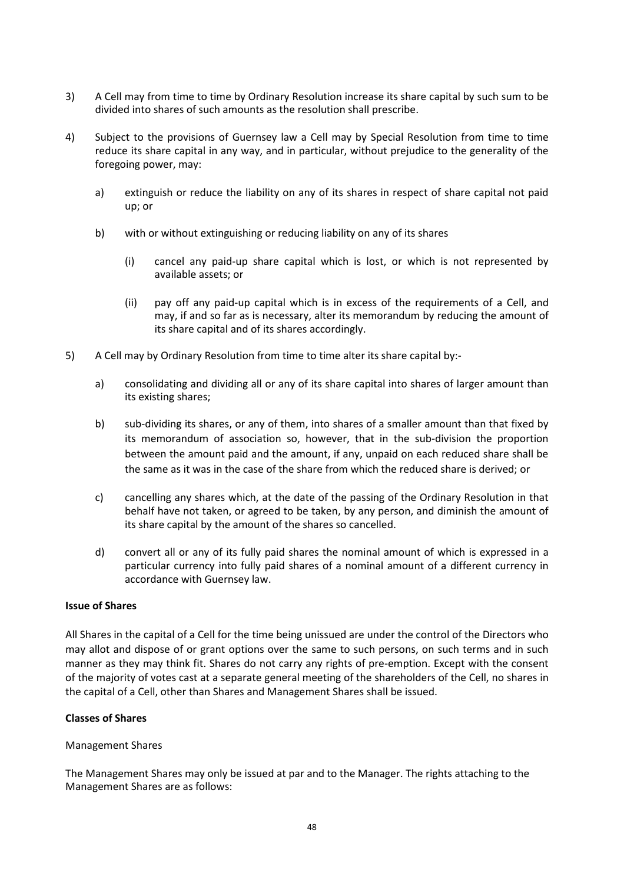- 3) A Cell may from time to time by Ordinary Resolution increase its share capital by such sum to be divided into shares of such amounts as the resolution shall prescribe.
- 4) Subject to the provisions of Guernsey law a Cell may by Special Resolution from time to time reduce its share capital in any way, and in particular, without prejudice to the generality of the foregoing power, may:
	- a) extinguish or reduce the liability on any of its shares in respect of share capital not paid up; or
	- b) with or without extinguishing or reducing liability on any of its shares
		- (i) cancel any paid-up share capital which is lost, or which is not represented by available assets; or
		- (ii) pay off any paid-up capital which is in excess of the requirements of a Cell, and may, if and so far as is necessary, alter its memorandum by reducing the amount of its share capital and of its shares accordingly.
- 5) A Cell may by Ordinary Resolution from time to time alter its share capital by:
	- a) consolidating and dividing all or any of its share capital into shares of larger amount than its existing shares;
	- b) sub-dividing its shares, or any of them, into shares of a smaller amount than that fixed by its memorandum of association so, however, that in the sub-division the proportion between the amount paid and the amount, if any, unpaid on each reduced share shall be the same as it was in the case of the share from which the reduced share is derived; or
	- c) cancelling any shares which, at the date of the passing of the Ordinary Resolution in that behalf have not taken, or agreed to be taken, by any person, and diminish the amount of its share capital by the amount of the shares so cancelled.
	- d) convert all or any of its fully paid shares the nominal amount of which is expressed in a particular currency into fully paid shares of a nominal amount of a different currency in accordance with Guernsey law.

## **Issue of Shares**

All Shares in the capital of a Cell for the time being unissued are under the control of the Directors who may allot and dispose of or grant options over the same to such persons, on such terms and in such manner as they may think fit. Shares do not carry any rights of pre-emption. Except with the consent of the majority of votes cast at a separate general meeting of the shareholders of the Cell, no shares in the capital of a Cell, other than Shares and Management Shares shall be issued.

## **Classes of Shares**

## Management Shares

The Management Shares may only be issued at par and to the Manager. The rights attaching to the Management Shares are as follows: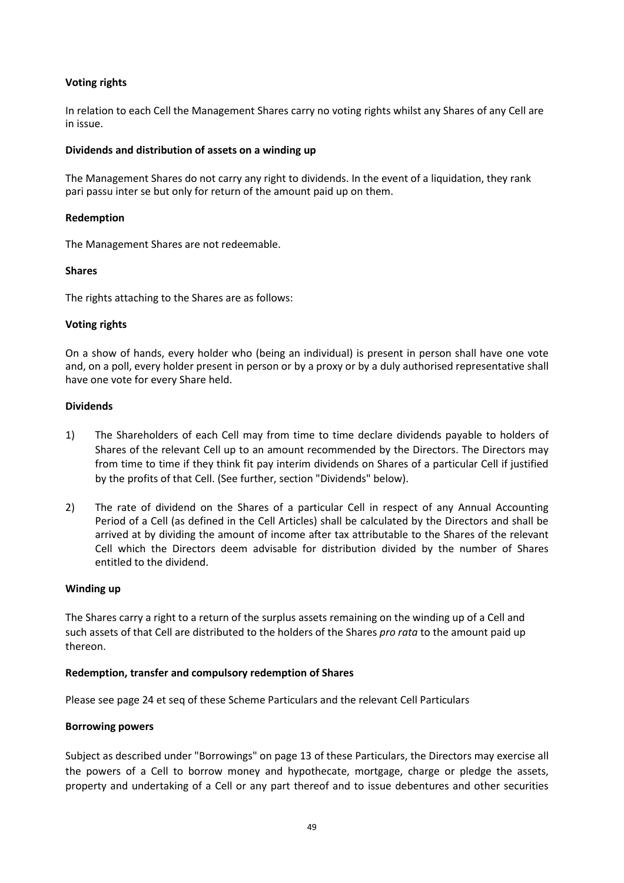## **Voting rights**

In relation to each Cell the Management Shares carry no voting rights whilst any Shares of any Cell are in issue.

### **Dividends and distribution of assets on a winding up**

The Management Shares do not carry any right to dividends. In the event of a liquidation, they rank pari passu inter se but only for return of the amount paid up on them.

### **Redemption**

The Management Shares are not redeemable.

### **Shares**

The rights attaching to the Shares are as follows:

### **Voting rights**

On a show of hands, every holder who (being an individual) is present in person shall have one vote and, on a poll, every holder present in person or by a proxy or by a duly authorised representative shall have one vote for every Share held.

### **Dividends**

- 1) The Shareholders of each Cell may from time to time declare dividends payable to holders of Shares of the relevant Cell up to an amount recommended by the Directors. The Directors may from time to time if they think fit pay interim dividends on Shares of a particular Cell if justified by the profits of that Cell. (See further, section "Dividends" below).
- 2) The rate of dividend on the Shares of a particular Cell in respect of any Annual Accounting Period of a Cell (as defined in the Cell Articles) shall be calculated by the Directors and shall be arrived at by dividing the amount of income after tax attributable to the Shares of the relevant Cell which the Directors deem advisable for distribution divided by the number of Shares entitled to the dividend.

#### **Winding up**

The Shares carry a right to a return of the surplus assets remaining on the winding up of a Cell and such assets of that Cell are distributed to the holders of the Shares *pro rata* to the amount paid up thereon.

## **Redemption, transfer and compulsory redemption of Shares**

Please see page 24 et seq of these Scheme Particulars and the relevant Cell Particulars

#### **Borrowing powers**

Subject as described under "Borrowings" on page 13 of these Particulars, the Directors may exercise all the powers of a Cell to borrow money and hypothecate, mortgage, charge or pledge the assets, property and undertaking of a Cell or any part thereof and to issue debentures and other securities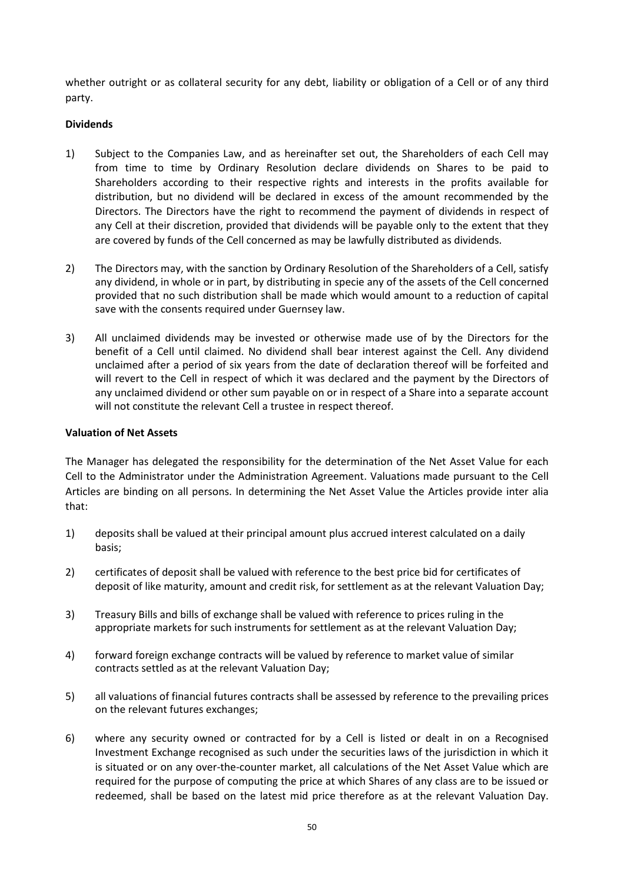whether outright or as collateral security for any debt, liability or obligation of a Cell or of any third party.

## **Dividends**

- 1) Subject to the Companies Law, and as hereinafter set out, the Shareholders of each Cell may from time to time by Ordinary Resolution declare dividends on Shares to be paid to Shareholders according to their respective rights and interests in the profits available for distribution, but no dividend will be declared in excess of the amount recommended by the Directors. The Directors have the right to recommend the payment of dividends in respect of any Cell at their discretion, provided that dividends will be payable only to the extent that they are covered by funds of the Cell concerned as may be lawfully distributed as dividends.
- 2) The Directors may, with the sanction by Ordinary Resolution of the Shareholders of a Cell, satisfy any dividend, in whole or in part, by distributing in specie any of the assets of the Cell concerned provided that no such distribution shall be made which would amount to a reduction of capital save with the consents required under Guernsey law.
- 3) All unclaimed dividends may be invested or otherwise made use of by the Directors for the benefit of a Cell until claimed. No dividend shall bear interest against the Cell. Any dividend unclaimed after a period of six years from the date of declaration thereof will be forfeited and will revert to the Cell in respect of which it was declared and the payment by the Directors of any unclaimed dividend or other sum payable on or in respect of a Share into a separate account will not constitute the relevant Cell a trustee in respect thereof.

## **Valuation of Net Assets**

The Manager has delegated the responsibility for the determination of the Net Asset Value for each Cell to the Administrator under the Administration Agreement. Valuations made pursuant to the Cell Articles are binding on all persons. In determining the Net Asset Value the Articles provide inter alia that:

- 1) deposits shall be valued at their principal amount plus accrued interest calculated on a daily basis;
- 2) certificates of deposit shall be valued with reference to the best price bid for certificates of deposit of like maturity, amount and credit risk, for settlement as at the relevant Valuation Day;
- 3) Treasury Bills and bills of exchange shall be valued with reference to prices ruling in the appropriate markets for such instruments for settlement as at the relevant Valuation Day;
- 4) forward foreign exchange contracts will be valued by reference to market value of similar contracts settled as at the relevant Valuation Day;
- 5) all valuations of financial futures contracts shall be assessed by reference to the prevailing prices on the relevant futures exchanges;
- 6) where any security owned or contracted for by a Cell is listed or dealt in on a Recognised Investment Exchange recognised as such under the securities laws of the jurisdiction in which it is situated or on any over-the-counter market, all calculations of the Net Asset Value which are required for the purpose of computing the price at which Shares of any class are to be issued or redeemed, shall be based on the latest mid price therefore as at the relevant Valuation Day.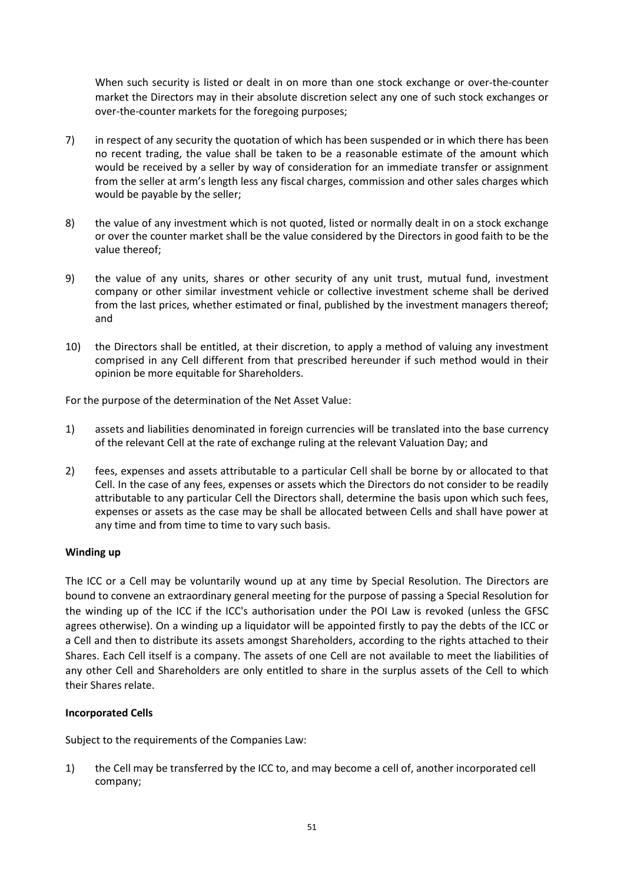When such security is listed or dealt in on more than one stock exchange or over-the-counter market the Directors may in their absolute discretion select any one of such stock exchanges or over-the-counter markets for the foregoing purposes;

- 7) in respect of any security the quotation of which has been suspended or in which there has been no recent trading, the value shall be taken to be a reasonable estimate of the amount which would be received by a seller by way of consideration for an immediate transfer or assignment from the seller at arm's length less any fiscal charges, commission and other sales charges which would be payable by the seller;
- 8) the value of any investment which is not quoted, listed or normally dealt in on a stock exchange or over the counter market shall be the value considered by the Directors in good faith to be the value thereof;
- 9) the value of any units, shares or other security of any unit trust, mutual fund, investment company or other similar investment vehicle or collective investment scheme shall be derived from the last prices, whether estimated or final, published by the investment managers thereof; and
- 10) the Directors shall be entitled, at their discretion, to apply a method of valuing any investment comprised in any Cell different from that prescribed hereunder if such method would in their opinion be more equitable for Shareholders.

For the purpose of the determination of the Net Asset Value:

- 1) assets and liabilities denominated in foreign currencies will be translated into the base currency of the relevant Cell at the rate of exchange ruling at the relevant Valuation Day; and
- 2) fees, expenses and assets attributable to a particular Cell shall be borne by or allocated to that Cell. In the case of any fees, expenses or assets which the Directors do not consider to be readily attributable to any particular Cell the Directors shall, determine the basis upon which such fees, expenses or assets as the case may be shall be allocated between Cells and shall have power at any time and from time to time to vary such basis.

## **Winding up**

The ICC or a Cell may be voluntarily wound up at any time by Special Resolution. The Directors are bound to convene an extraordinary general meeting for the purpose of passing a Special Resolution for the winding up of the ICC if the ICC's authorisation under the POI Law is revoked (unless the GFSC agrees otherwise). On a winding up a liquidator will be appointed firstly to pay the debts of the ICC or a Cell and then to distribute its assets amongst Shareholders, according to the rights attached to their Shares. Each Cell itself is a company. The assets of one Cell are not available to meet the liabilities of any other Cell and Shareholders are only entitled to share in the surplus assets of the Cell to which their Shares relate.

## **Incorporated Cells**

Subject to the requirements of the Companies Law:

1) the Cell may be transferred by the ICC to, and may become a cell of, another incorporated cell company;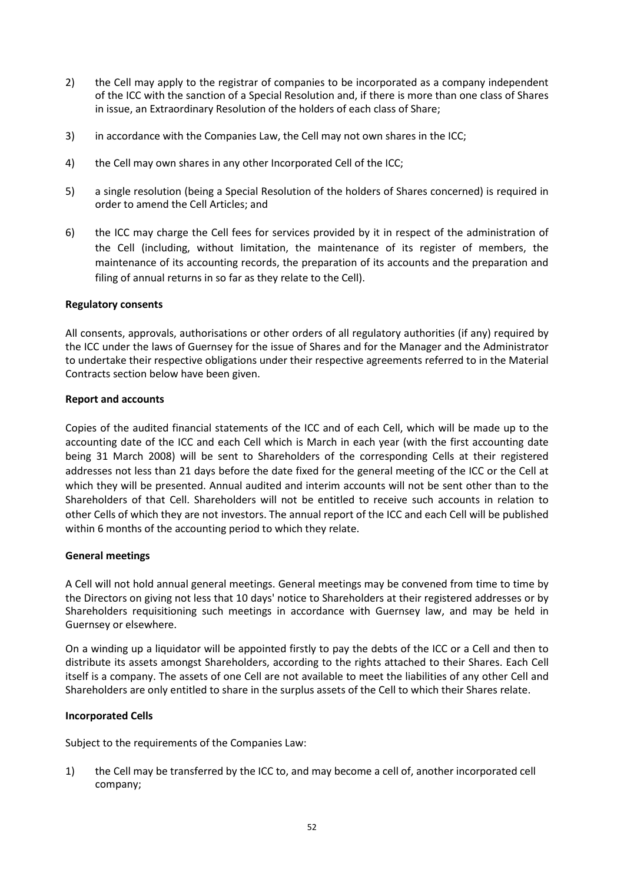- 2) the Cell may apply to the registrar of companies to be incorporated as a company independent of the ICC with the sanction of a Special Resolution and, if there is more than one class of Shares in issue, an Extraordinary Resolution of the holders of each class of Share;
- 3) in accordance with the Companies Law, the Cell may not own shares in the ICC;
- 4) the Cell may own shares in any other Incorporated Cell of the ICC;
- 5) a single resolution (being a Special Resolution of the holders of Shares concerned) is required in order to amend the Cell Articles; and
- 6) the ICC may charge the Cell fees for services provided by it in respect of the administration of the Cell (including, without limitation, the maintenance of its register of members, the maintenance of its accounting records, the preparation of its accounts and the preparation and filing of annual returns in so far as they relate to the Cell).

### **Regulatory consents**

All consents, approvals, authorisations or other orders of all regulatory authorities (if any) required by the ICC under the laws of Guernsey for the issue of Shares and for the Manager and the Administrator to undertake their respective obligations under their respective agreements referred to in the Material Contracts section below have been given.

### **Report and accounts**

Copies of the audited financial statements of the ICC and of each Cell, which will be made up to the accounting date of the ICC and each Cell which is March in each year (with the first accounting date being 31 March 2008) will be sent to Shareholders of the corresponding Cells at their registered addresses not less than 21 days before the date fixed for the general meeting of the ICC or the Cell at which they will be presented. Annual audited and interim accounts will not be sent other than to the Shareholders of that Cell. Shareholders will not be entitled to receive such accounts in relation to other Cells of which they are not investors. The annual report of the ICC and each Cell will be published within 6 months of the accounting period to which they relate.

## **General meetings**

A Cell will not hold annual general meetings. General meetings may be convened from time to time by the Directors on giving not less that 10 days' notice to Shareholders at their registered addresses or by Shareholders requisitioning such meetings in accordance with Guernsey law, and may be held in Guernsey or elsewhere.

On a winding up a liquidator will be appointed firstly to pay the debts of the ICC or a Cell and then to distribute its assets amongst Shareholders, according to the rights attached to their Shares. Each Cell itself is a company. The assets of one Cell are not available to meet the liabilities of any other Cell and Shareholders are only entitled to share in the surplus assets of the Cell to which their Shares relate.

## **Incorporated Cells**

Subject to the requirements of the Companies Law:

1) the Cell may be transferred by the ICC to, and may become a cell of, another incorporated cell company;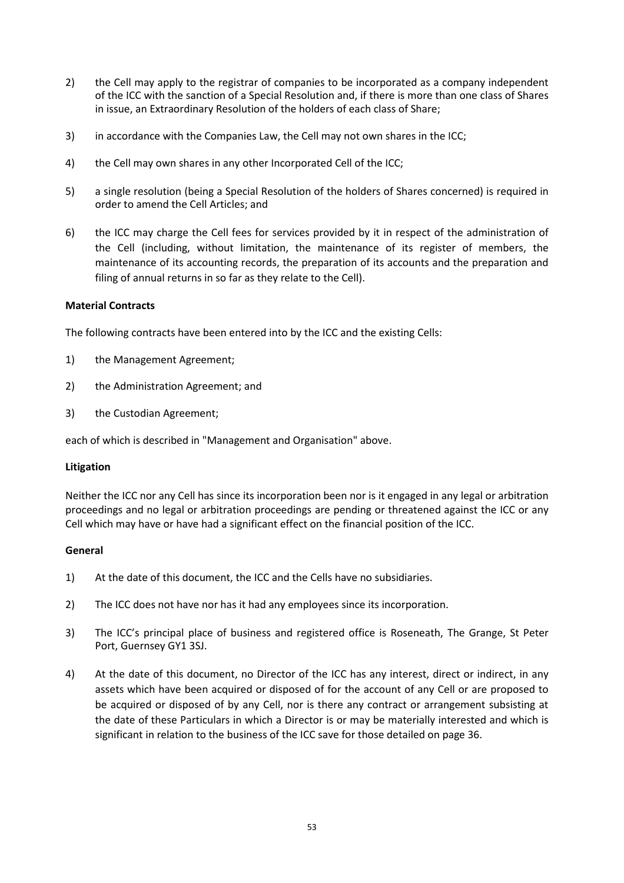- 2) the Cell may apply to the registrar of companies to be incorporated as a company independent of the ICC with the sanction of a Special Resolution and, if there is more than one class of Shares in issue, an Extraordinary Resolution of the holders of each class of Share;
- 3) in accordance with the Companies Law, the Cell may not own shares in the ICC;
- 4) the Cell may own shares in any other Incorporated Cell of the ICC;
- 5) a single resolution (being a Special Resolution of the holders of Shares concerned) is required in order to amend the Cell Articles; and
- 6) the ICC may charge the Cell fees for services provided by it in respect of the administration of the Cell (including, without limitation, the maintenance of its register of members, the maintenance of its accounting records, the preparation of its accounts and the preparation and filing of annual returns in so far as they relate to the Cell).

## **Material Contracts**

The following contracts have been entered into by the ICC and the existing Cells:

- 1) the Management Agreement;
- 2) the Administration Agreement; and
- 3) the Custodian Agreement;

each of which is described in "Management and Organisation" above.

#### **Litigation**

Neither the ICC nor any Cell has since its incorporation been nor is it engaged in any legal or arbitration proceedings and no legal or arbitration proceedings are pending or threatened against the ICC or any Cell which may have or have had a significant effect on the financial position of the ICC.

#### **General**

- 1) At the date of this document, the ICC and the Cells have no subsidiaries.
- 2) The ICC does not have nor has it had any employees since its incorporation.
- 3) The ICC's principal place of business and registered office is Roseneath, The Grange, St Peter Port, Guernsey GY1 3SJ.
- 4) At the date of this document, no Director of the ICC has any interest, direct or indirect, in any assets which have been acquired or disposed of for the account of any Cell or are proposed to be acquired or disposed of by any Cell, nor is there any contract or arrangement subsisting at the date of these Particulars in which a Director is or may be materially interested and which is significant in relation to the business of the ICC save for those detailed on page 36.